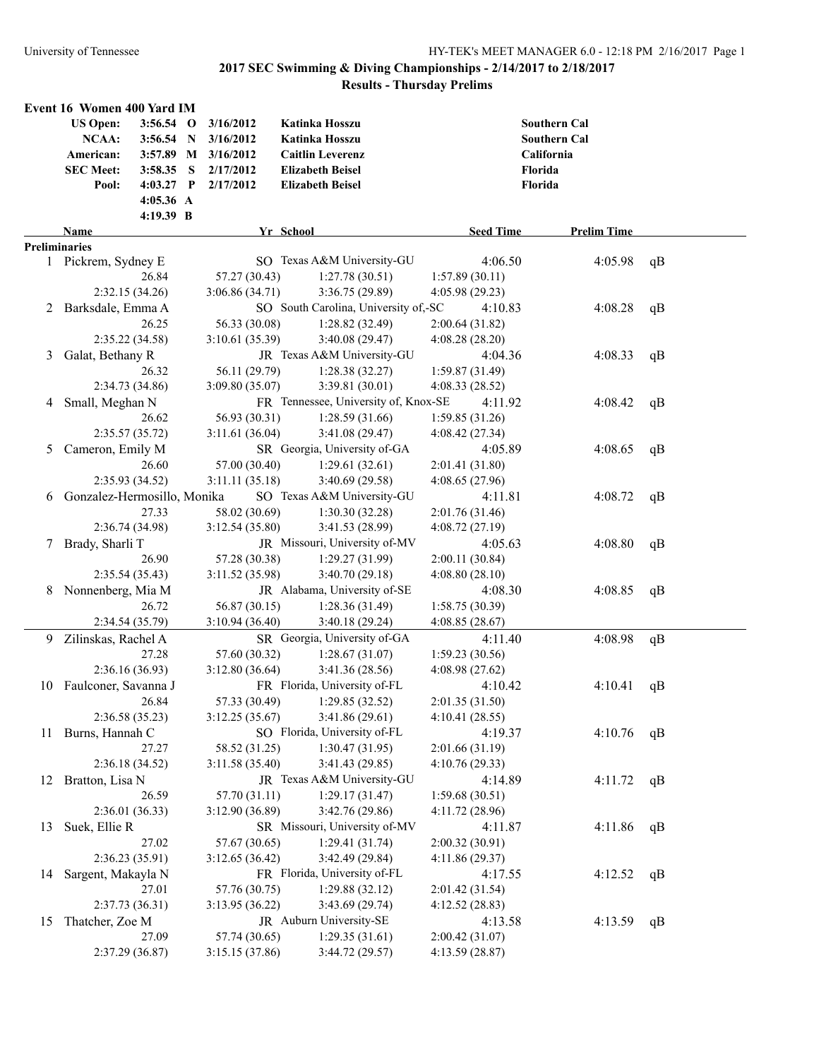|    | Event 16 Women 400 Yard IM  |                                                                |  |                     |                                      |                  |                     |    |  |  |
|----|-----------------------------|----------------------------------------------------------------|--|---------------------|--------------------------------------|------------------|---------------------|----|--|--|
|    | <b>US Open:</b>             | $3:56.54$ O                                                    |  | 3/16/2012           | Katinka Hosszu                       |                  | <b>Southern Cal</b> |    |  |  |
|    | NCAA:                       | 3:56.54 N                                                      |  | 3/16/2012           | Katinka Hosszu                       |                  | <b>Southern Cal</b> |    |  |  |
|    | American:                   |                                                                |  | 3:57.89 M 3/16/2012 | <b>Caitlin Leverenz</b>              |                  | California          |    |  |  |
|    | <b>SEC Meet:</b>            | $3:58.35$ S<br>2/17/2012<br><b>Elizabeth Beisel</b><br>Florida |  |                     |                                      |                  |                     |    |  |  |
|    | Pool:                       | $4:03.27$ P                                                    |  | 2/17/2012           | <b>Elizabeth Beisel</b>              | Florida          |                     |    |  |  |
|    |                             | 4:05.36 A                                                      |  |                     |                                      |                  |                     |    |  |  |
|    |                             | 4:19.39 B                                                      |  |                     |                                      |                  |                     |    |  |  |
|    | Name                        |                                                                |  |                     | Yr School                            | <b>Seed Time</b> | <b>Prelim Time</b>  |    |  |  |
|    | <b>Preliminaries</b>        |                                                                |  |                     |                                      |                  |                     |    |  |  |
|    | 1 Pickrem, Sydney E         |                                                                |  |                     | SO Texas A&M University-GU           | 4:06.50          | 4:05.98             | qB |  |  |
|    |                             | 26.84                                                          |  | 57.27 (30.43)       | 1:27.78(30.51)                       | 1:57.89(30.11)   |                     |    |  |  |
|    |                             | 2:32.15 (34.26)                                                |  | 3:06.86(34.71)      | 3:36.75 (29.89)                      | 4:05.98 (29.23)  |                     |    |  |  |
| 2  | Barksdale, Emma A           |                                                                |  |                     | SO South Carolina, University of,-SC | 4:10.83          | 4:08.28             | qB |  |  |
|    |                             | 26.25                                                          |  | 56.33 (30.08)       | 1:28.82(32.49)                       | 2:00.64(31.82)   |                     |    |  |  |
|    |                             | 2:35.22 (34.58)                                                |  | 3:10.61(35.39)      | 3:40.08(29.47)                       | 4:08.28(28.20)   |                     |    |  |  |
| 3  | Galat, Bethany R            |                                                                |  |                     | JR Texas A&M University-GU           | 4:04.36          | 4:08.33             | qB |  |  |
|    |                             | 26.32                                                          |  | 56.11 (29.79)       | 1:28.38(32.27)                       | 1:59.87 (31.49)  |                     |    |  |  |
|    |                             | 2:34.73 (34.86)                                                |  | 3:09.80(35.07)      | 3:39.81(30.01)                       | 4:08.33 (28.52)  |                     |    |  |  |
| 4  | Small, Meghan N             |                                                                |  |                     | FR Tennessee, University of, Knox-SE | 4:11.92          | 4:08.42             | qB |  |  |
|    |                             | 26.62                                                          |  | 56.93 (30.31)       | 1:28.59(31.66)                       | 1:59.85(31.26)   |                     |    |  |  |
|    |                             | 2:35.57(35.72)                                                 |  | 3:11.61(36.04)      | 3:41.08(29.47)                       | 4:08.42(27.34)   |                     |    |  |  |
| 5  | Cameron, Emily M            |                                                                |  |                     | SR Georgia, University of-GA         | 4:05.89          | 4:08.65             | qB |  |  |
|    |                             | 26.60                                                          |  | 57.00 (30.40)       | 1:29.61(32.61)                       | 2:01.41 (31.80)  |                     |    |  |  |
|    |                             | 2:35.93 (34.52)                                                |  | 3:11.11(35.18)      | 3:40.69 (29.58)                      | 4:08.65 (27.96)  |                     |    |  |  |
| 6  | Gonzalez-Hermosillo, Monika |                                                                |  |                     | SO Texas A&M University-GU           | 4:11.81          | 4:08.72             | qB |  |  |
|    |                             | 27.33                                                          |  | 58.02 (30.69)       | 1:30.30(32.28)                       | 2:01.76 (31.46)  |                     |    |  |  |
|    |                             | 2:36.74 (34.98)                                                |  | 3:12.54(35.80)      | 3:41.53 (28.99)                      | 4:08.72 (27.19)  |                     |    |  |  |
| 7  | Brady, Sharli T             |                                                                |  |                     | JR Missouri, University of-MV        | 4:05.63          | 4:08.80             | qB |  |  |
|    |                             | 26.90                                                          |  | 57.28 (30.38)       | 1:29.27(31.99)                       | 2:00.11(30.84)   |                     |    |  |  |
|    |                             | 2:35.54(35.43)                                                 |  | 3:11.52(35.98)      | 3:40.70(29.18)                       | 4:08.80(28.10)   |                     |    |  |  |
|    | 8 Nonnenberg, Mia M         |                                                                |  |                     | JR Alabama, University of-SE         | 4:08.30          | 4:08.85             | qB |  |  |
|    |                             | 26.72                                                          |  | 56.87 (30.15)       | 1:28.36(31.49)                       | 1:58.75(30.39)   |                     |    |  |  |
|    |                             | 2:34.54 (35.79)                                                |  | 3:10.94(36.40)      | 3:40.18(29.24)                       | 4:08.85(28.67)   |                     |    |  |  |
|    | 9 Zilinskas, Rachel A       |                                                                |  |                     | SR Georgia, University of-GA         | 4:11.40          | 4:08.98             | qB |  |  |
|    |                             | 27.28                                                          |  | 57.60 (30.32)       | 1:28.67(31.07)                       | 1:59.23(30.56)   |                     |    |  |  |
|    |                             | 2:36.16(36.93)                                                 |  | 3:12.80(36.64)      | 3:41.36 (28.56)                      | 4:08.98(27.62)   |                     |    |  |  |
|    | 10 Faulconer, Savanna J     |                                                                |  |                     | FR Florida, University of-FL         | 4:10.42          | 4:10.41             | qB |  |  |
|    |                             | 26.84                                                          |  | 57.33 (30.49)       | 1:29.85(32.52)                       | 2:01.35 (31.50)  |                     |    |  |  |
|    |                             | 2:36.58(35.23)                                                 |  | 3:12.25(35.67)      | 3:41.86(29.61)                       | 4:10.41(28.55)   |                     |    |  |  |
| 11 | Burns, Hannah C             |                                                                |  |                     | SO Florida, University of-FL         | 4:19.37          | 4:10.76             | qB |  |  |
|    |                             | 27.27                                                          |  | 58.52 (31.25)       | 1:30.47(31.95)                       | 2:01.66(31.19)   |                     |    |  |  |
|    |                             | 2:36.18 (34.52)                                                |  | 3:11.58(35.40)      | 3:41.43(29.85)                       | 4:10.76(29.33)   |                     |    |  |  |
| 12 | Bratton, Lisa N             |                                                                |  |                     | JR Texas A&M University-GU           | 4:14.89          | 4:11.72             | qB |  |  |
|    |                             | 26.59                                                          |  | 57.70 (31.11)       | 1:29.17(31.47)                       | 1:59.68(30.51)   |                     |    |  |  |
|    |                             | 2:36.01(36.33)                                                 |  | 3:12.90(36.89)      | 3:42.76 (29.86)                      | 4:11.72(28.96)   |                     |    |  |  |
| 13 | Suek, Ellie R               |                                                                |  |                     | SR Missouri, University of-MV        | 4:11.87          | 4:11.86             | qB |  |  |
|    |                             | 27.02                                                          |  | 57.67 (30.65)       | 1:29.41(31.74)                       | 2:00.32 (30.91)  |                     |    |  |  |
|    |                             | 2:36.23 (35.91)                                                |  | 3:12.65(36.42)      | 3:42.49 (29.84)                      | 4:11.86 (29.37)  |                     |    |  |  |
| 14 | Sargent, Makayla N          |                                                                |  |                     | FR Florida, University of-FL         | 4:17.55          | 4:12.52             | qB |  |  |
|    |                             | 27.01                                                          |  | 57.76 (30.75)       | 1:29.88(32.12)                       | 2:01.42 (31.54)  |                     |    |  |  |
|    |                             | 2:37.73 (36.31)                                                |  | 3:13.95(36.22)      | 3:43.69 (29.74)                      | 4:12.52(28.83)   |                     |    |  |  |
| 15 | Thatcher, Zoe M             |                                                                |  |                     | JR Auburn University-SE              | 4:13.58          | 4:13.59             | qB |  |  |
|    |                             | 27.09                                                          |  | 57.74 (30.65)       | 1:29.35(31.61)                       | 2:00.42(31.07)   |                     |    |  |  |
|    |                             | 2:37.29 (36.87)                                                |  | 3:15.15(37.86)      | 3:44.72 (29.57)                      | 4:13.59 (28.87)  |                     |    |  |  |
|    |                             |                                                                |  |                     |                                      |                  |                     |    |  |  |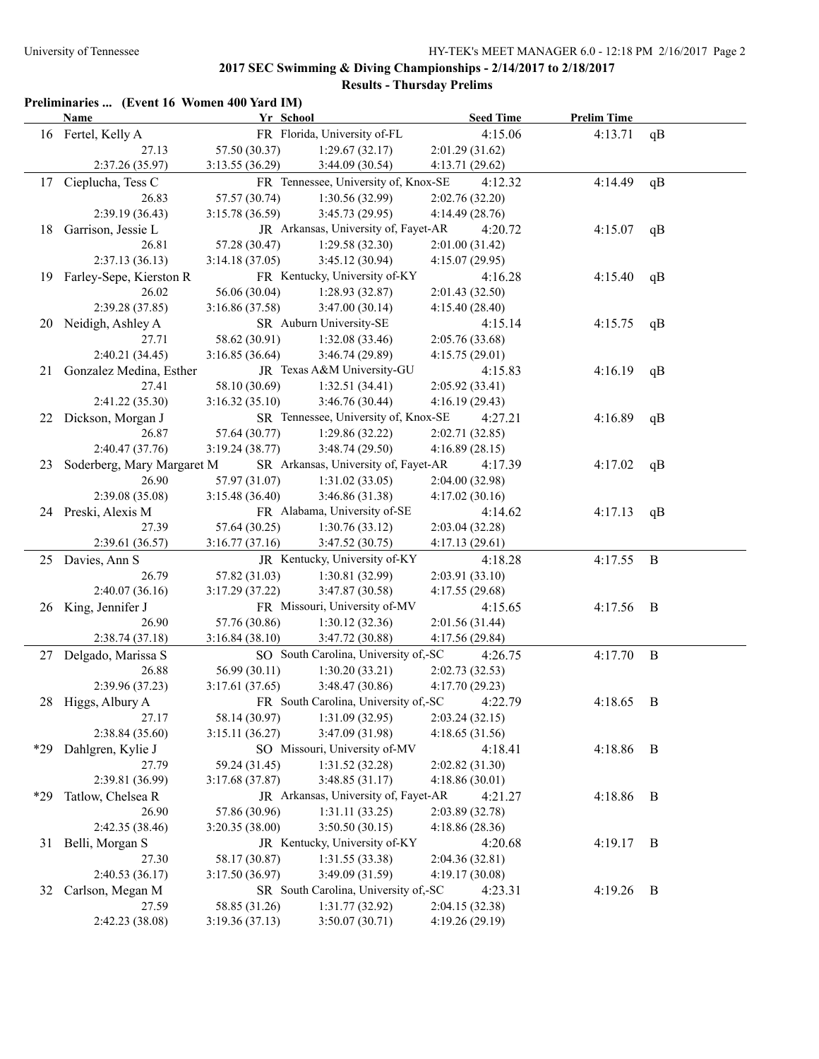|       | Preliminaries  (Event 16 Women 400 Yard IM)<br>Name | Yr School       |                                      | <b>Seed Time</b> | <b>Prelim Time</b> |                |
|-------|-----------------------------------------------------|-----------------|--------------------------------------|------------------|--------------------|----------------|
|       | 16 Fertel, Kelly A                                  |                 | FR Florida, University of-FL         | 4:15.06          | 4:13.71            | qB             |
|       | 27.13                                               | 57.50 (30.37)   | 1:29.67(32.17)                       | 2:01.29(31.62)   |                    |                |
|       | 2:37.26 (35.97)                                     | 3:13.55(36.29)  | 3:44.09 (30.54)                      | 4:13.71(29.62)   |                    |                |
|       | 17 Cieplucha, Tess C                                |                 | FR Tennessee, University of, Knox-SE | 4:12.32          | 4:14.49            | qB             |
|       | 26.83                                               | 57.57 (30.74)   | 1:30.56(32.99)                       | 2:02.76 (32.20)  |                    |                |
|       | 2:39.19(36.43)                                      | 3:15.78(36.59)  | 3:45.73(29.95)                       | 4:14.49 (28.76)  |                    |                |
| 18    | Garrison, Jessie L                                  |                 | JR Arkansas, University of, Fayet-AR | 4:20.72          | 4:15.07            | qB             |
|       | 26.81                                               | 57.28 (30.47)   | 1:29.58(32.30)                       | 2:01.00(31.42)   |                    |                |
|       | 2:37.13(36.13)                                      | 3:14.18(37.05)  | 3:45.12(30.94)                       | 4:15.07 (29.95)  |                    |                |
|       | 19 Farley-Sepe, Kierston R                          |                 | FR Kentucky, University of-KY        | 4:16.28          | 4:15.40            | qB             |
|       | 26.02                                               | 56.06 (30.04)   | 1:28.93(32.87)                       | 2:01.43 (32.50)  |                    |                |
|       | 2:39.28(37.85)                                      | 3:16.86(37.58)  | 3:47.00(30.14)                       | 4:15.40(28.40)   |                    |                |
| 20    | Neidigh, Ashley A                                   |                 | SR Auburn University-SE              | 4:15.14          | 4:15.75            | qB             |
|       | 27.71                                               | 58.62 (30.91)   | 1:32.08(33.46)                       | 2:05.76 (33.68)  |                    |                |
|       | 2:40.21 (34.45)                                     | 3:16.85(36.64)  | 3:46.74 (29.89)                      | 4:15.75(29.01)   |                    |                |
| 21    | Gonzalez Medina, Esther                             |                 | JR Texas A&M University-GU           | 4:15.83          | 4:16.19            | qB             |
|       | 27.41                                               | 58.10 (30.69)   | 1:32.51(34.41)                       | 2:05.92 (33.41)  |                    |                |
|       | 2:41.22(35.30)                                      | 3:16.32(35.10)  | 3:46.76 (30.44)                      | 4:16.19 (29.43)  |                    |                |
| 22    | Dickson, Morgan J                                   |                 | SR Tennessee, University of, Knox-SE | 4:27.21          | 4:16.89            | qB             |
|       | 26.87                                               | 57.64 (30.77)   | 1:29.86(32.22)                       | 2:02.71 (32.85)  |                    |                |
|       | 2:40.47 (37.76)                                     | 3:19.24(38.77)  | 3:48.74(29.50)                       | 4:16.89(28.15)   |                    |                |
| 23    | Soderberg, Mary Margaret M                          |                 | SR Arkansas, University of, Fayet-AR | 4:17.39          | 4:17.02            | qB             |
|       | 26.90                                               | 57.97 (31.07)   | 1:31.02(33.05)                       | 2:04.00 (32.98)  |                    |                |
|       | 2:39.08 (35.08)                                     | 3:15.48(36.40)  | 3:46.86 (31.38)                      | 4:17.02(30.16)   |                    |                |
|       | 24 Preski, Alexis M                                 |                 | FR Alabama, University of-SE         | 4:14.62          | 4:17.13            | qB             |
|       | 27.39                                               | 57.64 (30.25)   | 1:30.76(33.12)                       | 2:03.04(32.28)   |                    |                |
|       | 2:39.61 (36.57)                                     | 3:16.77(37.16)  | 3:47.52(30.75)                       | 4:17.13(29.61)   |                    |                |
|       | 25 Davies, Ann S                                    |                 | JR Kentucky, University of-KY        | 4:18.28          | 4:17.55            | B              |
|       | 26.79                                               | 57.82 (31.03)   | 1:30.81 (32.99)                      | 2:03.91 (33.10)  |                    |                |
|       | 2:40.07(36.16)                                      | 3:17.29 (37.22) | 3:47.87 (30.58)                      | 4:17.55(29.68)   |                    |                |
| 26    | King, Jennifer J                                    |                 | FR Missouri, University of-MV        | 4:15.65          | 4:17.56            | $\overline{B}$ |
|       | 26.90                                               | 57.76 (30.86)   | 1:30.12(32.36)                       | 2:01.56 (31.44)  |                    |                |
|       | 2:38.74 (37.18)                                     | 3:16.84(38.10)  | 3:47.72 (30.88)                      | 4:17.56 (29.84)  |                    |                |
|       | 27 Delgado, Marissa S                               |                 | SO South Carolina, University of,-SC | 4:26.75          | 4:17.70            | $\, {\bf B}$   |
|       | 26.88                                               | 56.99 (30.11)   | 1:30.20(33.21)                       | 2:02.73 (32.53)  |                    |                |
|       | 2:39.96 (37.23)                                     | 3:17.61(37.65)  | 3:48.47(30.86)                       | 4:17.70(29.23)   |                    |                |
|       | 28 Higgs, Albury A                                  |                 | FR South Carolina, University of,-SC | 4:22.79          | 4:18.65            | $\overline{B}$ |
|       | 27.17                                               | 58.14 (30.97)   | 1:31.09(32.95)                       | 2:03.24(32.15)   |                    |                |
|       | 2:38.84 (35.60)                                     | 3:15.11(36.27)  | 3:47.09 (31.98)                      | 4:18.65(31.56)   |                    |                |
| $*29$ | Dahlgren, Kylie J                                   |                 | SO Missouri, University of-MV        | 4:18.41          | 4:18.86            | $\overline{B}$ |
|       | 27.79                                               | 59.24 (31.45)   | 1:31.52(32.28)                       | 2:02.82 (31.30)  |                    |                |
|       | 2:39.81 (36.99)                                     | 3:17.68(37.87)  | 3:48.85(31.17)                       | 4:18.86(30.01)   |                    |                |
| $*29$ | Tatlow, Chelsea R                                   |                 | JR Arkansas, University of, Fayet-AR | 4:21.27          | 4:18.86            | $\overline{B}$ |
|       | 26.90                                               | 57.86 (30.96)   | 1:31.11(33.25)                       | 2:03.89 (32.78)  |                    |                |
|       | 2:42.35 (38.46)                                     | 3:20.35(38.00)  | 3:50.50(30.15)                       | 4:18.86 (28.36)  |                    |                |
| 31    | Belli, Morgan S                                     |                 | JR Kentucky, University of-KY        | 4:20.68          | 4:19.17            | $\mathbf B$    |
|       | 27.30                                               | 58.17 (30.87)   | 1:31.55(33.38)                       | 2:04.36(32.81)   |                    |                |
|       | 2:40.53(36.17)                                      | 3:17.50(36.97)  | 3:49.09 (31.59)                      | 4:19.17(30.08)   |                    |                |
| 32    | Carlson, Megan M                                    |                 | SR South Carolina, University of,-SC | 4:23.31          | 4:19.26            | B              |
|       | 27.59                                               | 58.85 (31.26)   | 1:31.77(32.92)                       | 2:04.15 (32.38)  |                    |                |
|       | 2:42.23 (38.08)                                     | 3:19.36(37.13)  | 3:50.07(30.71)                       | 4:19.26 (29.19)  |                    |                |
|       |                                                     |                 |                                      |                  |                    |                |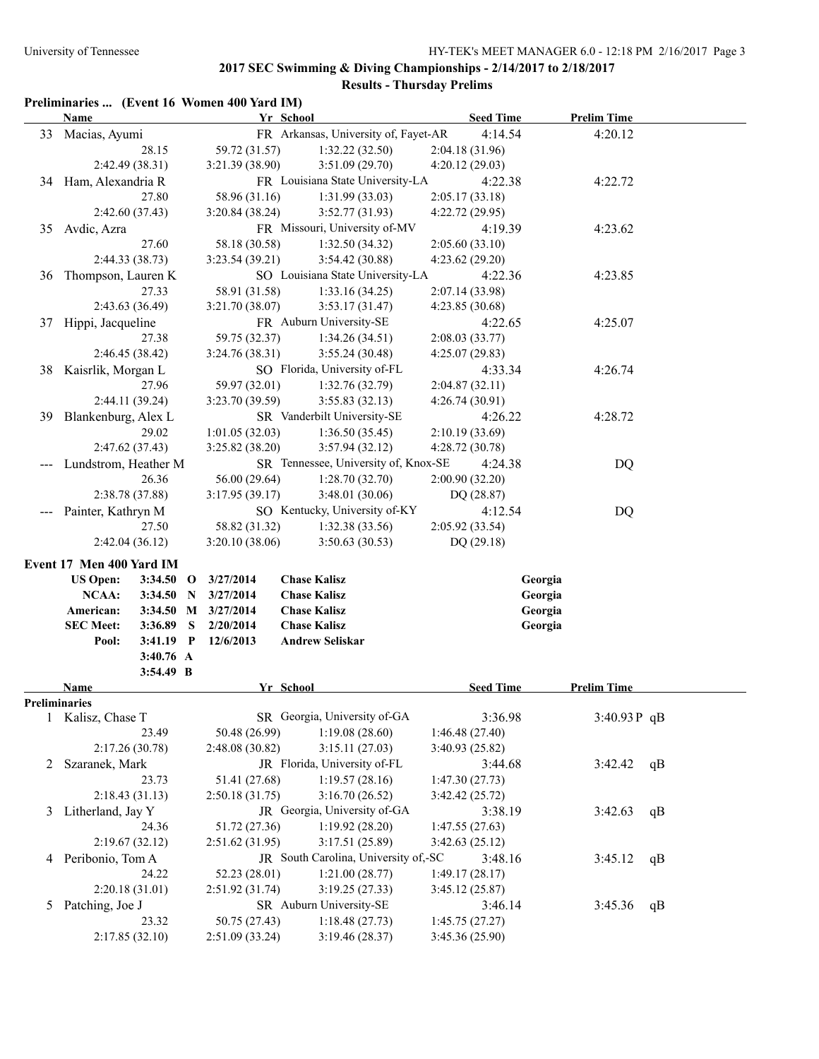|    | <b>Name</b>              |             |          |                 | Yr School                                 | <b>Seed Time</b>          | <b>Prelim Time</b> |    |
|----|--------------------------|-------------|----------|-----------------|-------------------------------------------|---------------------------|--------------------|----|
| 33 | Macias, Ayumi            |             |          |                 | FR Arkansas, University of, Fayet-AR      | 4:14.54                   | 4:20.12            |    |
|    |                          | 28.15       |          | 59.72 (31.57)   | 1:32.22(32.50)                            | 2:04.18 (31.96)           |                    |    |
|    | 2:42.49 (38.31)          |             |          | 3:21.39 (38.90) | 3:51.09(29.70)                            | 4:20.12(29.03)            |                    |    |
|    | 34 Ham, Alexandria R     |             |          |                 | FR Louisiana State University-LA          | 4:22.38                   | 4:22.72            |    |
|    |                          | 27.80       |          | 58.96 (31.16)   | 1:31.99(33.03)                            | 2:05.17(33.18)            |                    |    |
|    | 2:42.60 (37.43)          |             |          | 3:20.84 (38.24) | 3:52.77(31.93)                            | 4:22.72(29.95)            |                    |    |
| 35 | Avdic, Azra              |             |          |                 | FR Missouri, University of-MV             | 4:19.39                   | 4:23.62            |    |
|    |                          | 27.60       |          | 58.18 (30.58)   | 1:32.50(34.32)                            | 2:05.60(33.10)            |                    |    |
|    | 2:44.33 (38.73)          |             |          | 3:23.54(39.21)  | 3:54.42(30.88)                            | 4:23.62(29.20)            |                    |    |
|    | 36 Thompson, Lauren K    |             |          |                 | SO Louisiana State University-LA          | 4:22.36                   | 4:23.85            |    |
|    |                          | 27.33       |          | 58.91 (31.58)   | 1:33.16(34.25)                            | 2:07.14 (33.98)           |                    |    |
|    | 2:43.63 (36.49)          |             |          | 3:21.70(38.07)  | 3:53.17(31.47)                            | 4:23.85(30.68)            |                    |    |
| 37 | Hippi, Jacqueline        |             |          |                 | FR Auburn University-SE                   | 4:22.65                   | 4:25.07            |    |
|    |                          | 27.38       |          | 59.75 (32.37)   | 1:34.26(34.51)                            | 2:08.03 (33.77)           |                    |    |
|    | 2:46.45 (38.42)          |             |          | 3:24.76(38.31)  | 3:55.24(30.48)                            | 4:25.07(29.83)            |                    |    |
|    | 38 Kaisrlik, Morgan L    |             |          |                 | SO Florida, University of-FL              | 4:33.34                   | 4:26.74            |    |
|    |                          | 27.96       |          | 59.97 (32.01)   |                                           |                           |                    |    |
|    |                          |             |          |                 | 1:32.76(32.79)                            | 2:04.87(32.11)            |                    |    |
|    | 2:44.11 (39.24)          |             |          | 3:23.70 (39.59) | 3:55.83(32.13)                            | 4:26.74(30.91)            |                    |    |
| 39 | Blankenburg, Alex L      |             |          |                 | SR Vanderbilt University-SE               | 4:26.22                   | 4:28.72            |    |
|    |                          | 29.02       |          | 1:01.05(32.03)  | 1:36.50(35.45)                            | 2:10.19(33.69)            |                    |    |
|    | 2:47.62 (37.43)          |             |          | 3:25.82(38.20)  | 3:57.94(32.12)                            | 4:28.72 (30.78)           |                    |    |
|    | Lundstrom, Heather M     |             |          |                 | SR Tennessee, University of, Knox-SE      | 4:24.38                   | <b>DQ</b>          |    |
|    |                          | 26.36       |          | 56.00 (29.64)   | 1:28.70(32.70)                            | 2:00.90 (32.20)           |                    |    |
|    | 2:38.78 (37.88)          |             |          | 3:17.95(39.17)  | 3:48.01 (30.06)                           | DQ (28.87)                |                    |    |
|    | Painter, Kathryn M       |             |          |                 | SO Kentucky, University of-KY             | 4:12.54                   | DQ                 |    |
|    |                          | 27.50       |          | 58.82 (31.32)   | 1:32.38(33.56)                            | 2:05.92 (33.54)           |                    |    |
|    | 2:42.04(36.12)           |             |          | 3:20.10(38.06)  | 3:50.63(30.53)                            | DQ(29.18)                 |                    |    |
|    | Event 17 Men 400 Yard IM |             |          |                 |                                           |                           |                    |    |
|    | <b>US Open:</b>          | 3:34.50     | $\bf{0}$ | 3/27/2014       | <b>Chase Kalisz</b>                       | Georgia                   |                    |    |
|    | NCAA:                    | 3:34.50     | N        | 3/27/2014       | <b>Chase Kalisz</b>                       | Georgia                   |                    |    |
|    | American:                | 3:34.50     |          | M 3/27/2014     | <b>Chase Kalisz</b>                       | Georgia                   |                    |    |
|    | <b>SEC Meet:</b>         | 3:36.89     | S        | 2/20/2014       | <b>Chase Kalisz</b>                       | Georgia                   |                    |    |
|    | Pool:                    | $3:41.19$ P |          | 12/6/2013       | <b>Andrew Seliskar</b>                    |                           |                    |    |
|    |                          | 3:40.76 A   |          |                 |                                           |                           |                    |    |
|    |                          | 3:54.49 B   |          |                 |                                           |                           |                    |    |
|    | <b>Name</b>              |             |          |                 | Yr School                                 | <b>Seed Time</b>          | <b>Prelim Time</b> |    |
|    | <b>Preliminaries</b>     |             |          |                 |                                           |                           |                    |    |
|    | 1 Kalisz, Chase T        |             |          |                 | SR Georgia, University of-GA              | 3:36.98                   | $3:40.93P$ qB      |    |
|    |                          | 23.49       |          | 50.48 (26.99)   | 1:19.08(28.60)                            | 1:46.48 (27.40)           |                    |    |
|    | 2:17.26(30.78)           |             |          | 2:48.08 (30.82) | 3:15.11(27.03)                            | 3:40.93(25.82)            |                    |    |
| 2  | Szaranek, Mark           |             |          |                 | JR Florida, University of-FL              | 3:44.68                   | 3:42.42            | qB |
|    |                          | 23.73       |          | 51.41 (27.68)   | 1:19.57(28.16)                            | 1:47.30(27.73)            |                    |    |
|    | 2:18.43(31.13)           |             |          | 2:50.18(31.75)  | 3:16.70(26.52)                            | 3:42.42(25.72)            |                    |    |
| 3  | Litherland, Jay Y        |             |          |                 | JR Georgia, University of-GA              | 3:38.19                   | 3:42.63            | qB |
|    |                          | 24.36       |          | 51.72 (27.36)   | 1:19.92(28.20)                            | 1:47.55(27.63)            |                    |    |
|    | 2:19.67(32.12)           |             |          | 2:51.62(31.95)  | 3:17.51(25.89)                            | 3:42.63(25.12)            |                    |    |
|    | 4 Peribonio, Tom A       |             |          |                 | JR South Carolina, University of,-SC      | 3:48.16                   | 3:45.12            | qB |
|    |                          | 24.22       |          | 52.23 (28.01)   | 1:21.00(28.77)                            | 1:49.17(28.17)            |                    |    |
|    |                          |             |          |                 |                                           |                           |                    |    |
|    |                          |             |          |                 |                                           |                           |                    |    |
|    | 2:20.18(31.01)           |             |          | 2:51.92 (31.74) | 3:19.25(27.33)                            | 3:45.12(25.87)            |                    |    |
|    | 5 Patching, Joe J        | 23.32       |          | 50.75 (27.43)   | SR Auburn University-SE<br>1:18.48(27.73) | 3:46.14<br>1:45.75(27.27) | 3:45.36            | qB |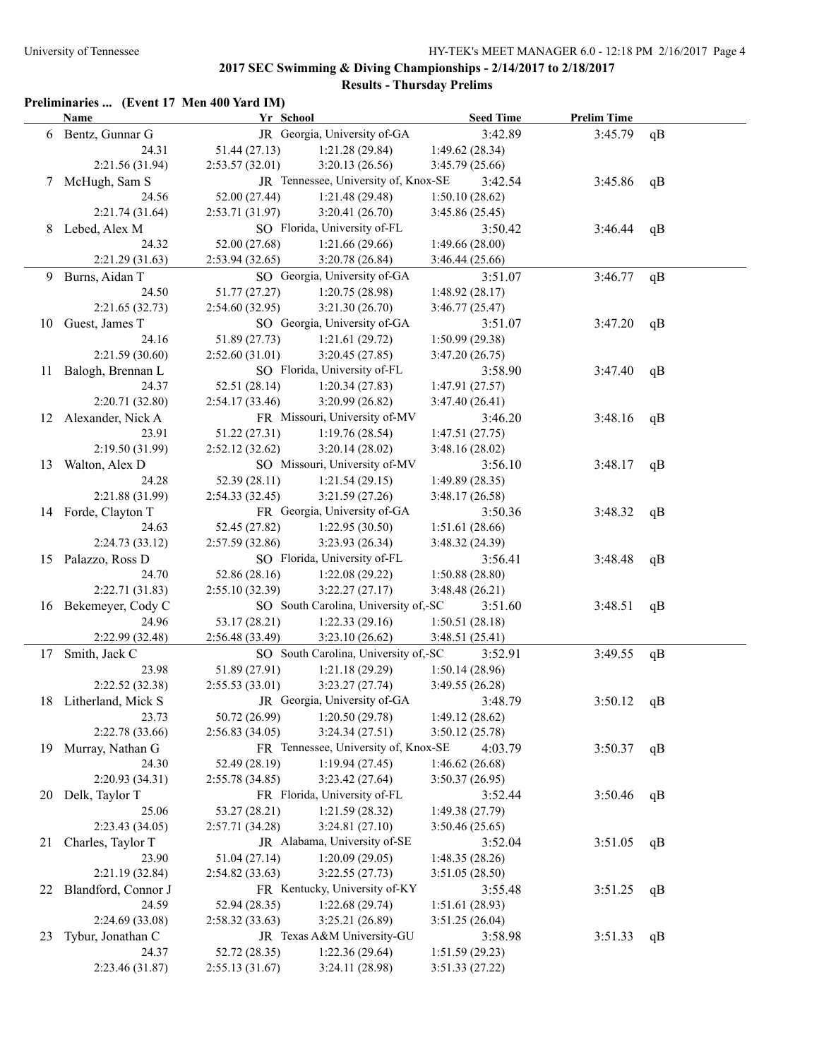# **Preliminaries ... (Event 17 Men 400 Yard IM)**

|    | <b>Name</b>           |                 | Yr School                            | <b>Seed Time</b> | <b>Prelim Time</b> |    |
|----|-----------------------|-----------------|--------------------------------------|------------------|--------------------|----|
|    | 6 Bentz, Gunnar G     |                 | JR Georgia, University of-GA         | 3:42.89          | 3:45.79            | qB |
|    | 24.31                 | 51.44 (27.13)   | 1:21.28(29.84)                       | 1:49.62(28.34)   |                    |    |
|    | 2:21.56 (31.94)       | 2:53.57(32.01)  | 3:20.13(26.56)                       | 3:45.79 (25.66)  |                    |    |
|    | 7 McHugh, Sam S       |                 | JR Tennessee, University of, Knox-SE | 3:42.54          | 3:45.86            | qB |
|    | 24.56                 | 52.00 (27.44)   | 1:21.48(29.48)                       | 1:50.10(28.62)   |                    |    |
|    | 2:21.74(31.64)        | 2:53.71(31.97)  | 3:20.41(26.70)                       | 3:45.86(25.45)   |                    |    |
|    | 8 Lebed, Alex M       |                 | SO Florida, University of-FL         | 3:50.42          | 3:46.44            | qB |
|    | 24.32                 | 52.00 (27.68)   | 1:21.66(29.66)                       | 1:49.66(28.00)   |                    |    |
|    | 2:21.29 (31.63)       | 2:53.94(32.65)  | 3:20.78(26.84)                       | 3:46.44(25.66)   |                    |    |
|    | 9 Burns, Aidan T      |                 | SO Georgia, University of-GA         | 3:51.07          | 3:46.77            | qB |
|    | 24.50                 | 51.77 (27.27)   | 1:20.75 (28.98)                      | 1:48.92 (28.17)  |                    |    |
|    | 2:21.65(32.73)        | 2:54.60(32.95)  | 3:21.30(26.70)                       | 3:46.77(25.47)   |                    |    |
| 10 | Guest, James T        |                 | SO Georgia, University of-GA         | 3:51.07          | 3:47.20            | qB |
|    | 24.16                 | 51.89 (27.73)   | 1:21.61(29.72)                       | 1:50.99(29.38)   |                    |    |
|    | 2:21.59(30.60)        | 2:52.60(31.01)  | 3:20.45(27.85)                       | 3:47.20(26.75)   |                    |    |
|    | 11 Balogh, Brennan L  |                 | SO Florida, University of-FL         | 3:58.90          | 3:47.40            | qB |
|    | 24.37                 | 52.51 (28.14)   | 1:20.34(27.83)                       | 1:47.91(27.57)   |                    |    |
|    | 2:20.71 (32.80)       | 2:54.17(33.46)  | 3:20.99(26.82)                       | 3:47.40(26.41)   |                    |    |
|    | 12 Alexander, Nick A  |                 | FR Missouri, University of-MV        | 3:46.20          | 3:48.16            | qB |
|    | 23.91                 | 51.22 (27.31)   | 1:19.76(28.54)                       | 1:47.51(27.75)   |                    |    |
|    | 2:19.50 (31.99)       | 2:52.12(32.62)  | 3:20.14(28.02)                       | 3:48.16(28.02)   |                    |    |
|    | 13 Walton, Alex D     |                 | SO Missouri, University of-MV        | 3:56.10          | 3:48.17            | qB |
|    | 24.28                 | 52.39 (28.11)   | 1:21.54(29.15)                       | 1:49.89(28.35)   |                    |    |
|    | 2:21.88 (31.99)       | 2:54.33(32.45)  | 3:21.59(27.26)                       | 3:48.17(26.58)   |                    |    |
|    | 14 Forde, Clayton T   |                 | FR Georgia, University of-GA         | 3:50.36          | 3:48.32            | qB |
|    | 24.63                 | 52.45 (27.82)   | 1:22.95(30.50)                       | 1:51.61(28.66)   |                    |    |
|    | 2:24.73(33.12)        | 2:57.59 (32.86) | 3:23.93(26.34)                       | 3:48.32 (24.39)  |                    |    |
|    | 15 Palazzo, Ross D    |                 | SO Florida, University of-FL         | 3:56.41          | 3:48.48            | qB |
|    | 24.70                 | 52.86 (28.16)   | 1:22.08(29.22)                       | 1:50.88(28.80)   |                    |    |
|    | 2:22.71(31.83)        | 2:55.10(32.39)  | 3:22.27(27.17)                       | 3:48.48(26.21)   |                    |    |
|    | 16 Bekemeyer, Cody C  |                 | SO South Carolina, University of,-SC | 3:51.60          | 3:48.51            | qB |
|    | 24.96                 | 53.17 (28.21)   | 1:22.33(29.16)                       | 1:50.51(28.18)   |                    |    |
|    | 2:22.99 (32.48)       | 2:56.48 (33.49) | 3:23.10(26.62)                       | 3:48.51(25.41)   |                    |    |
|    | 17 Smith, Jack C      |                 | SO South Carolina, University of,-SC | 3:52.91          | 3:49.55            | qB |
|    | 23.98                 | 51.89 (27.91)   | 1:21.18(29.29)                       | 1:50.14(28.96)   |                    |    |
|    | 2:22.52 (32.38)       | 2:55.53(33.01)  | 3:23.27(27.74)                       | 3:49.55(26.28)   |                    |    |
|    | 18 Litherland, Mick S |                 | JR Georgia, University of-GA         | 3:48.79          | 3:50.12            | qB |
|    | 23.73                 | 50.72 (26.99)   | 1:20.50 (29.78)                      | 1:49.12(28.62)   |                    |    |
|    | 2:22.78 (33.66)       | 2:56.83(34.05)  | 3:24.34(27.51)                       | 3:50.12 (25.78)  |                    |    |
| 19 | Murray, Nathan G      |                 | FR Tennessee, University of, Knox-SE | 4:03.79          | 3:50.37            | qB |
|    | 24.30                 | 52.49 (28.19)   | 1:19.94(27.45)                       | 1:46.62(26.68)   |                    |    |
|    | 2:20.93 (34.31)       | 2:55.78(34.85)  | 3:23.42(27.64)                       | 3:50.37(26.95)   |                    |    |
| 20 | Delk, Taylor T        |                 | FR Florida, University of-FL         | 3:52.44          | 3:50.46            | qB |
|    | 25.06                 | 53.27 (28.21)   | 1:21.59(28.32)                       | 1:49.38(27.79)   |                    |    |
|    | 2:23.43 (34.05)       | 2:57.71(34.28)  | 3:24.81(27.10)                       | 3:50.46(25.65)   |                    |    |
| 21 | Charles, Taylor T     |                 | JR Alabama, University of-SE         | 3:52.04          | 3:51.05            | qB |
|    | 23.90                 | 51.04 (27.14)   | 1:20.09(29.05)                       | 1:48.35(28.26)   |                    |    |
|    | 2:21.19 (32.84)       | 2:54.82(33.63)  | 3:22.55(27.73)                       | 3:51.05(28.50)   |                    |    |
| 22 | Blandford, Connor J   |                 | FR Kentucky, University of-KY        | 3:55.48          | 3:51.25            | qB |
|    | 24.59                 | 52.94 (28.35)   | 1:22.68(29.74)                       | 1:51.61(28.93)   |                    |    |
|    | 2:24.69 (33.08)       | 2:58.32(33.63)  | 3:25.21(26.89)                       | 3:51.25(26.04)   |                    |    |
| 23 | Tybur, Jonathan C     |                 | JR Texas A&M University-GU           | 3:58.98          | 3:51.33            | qB |
|    | 24.37                 | 52.72 (28.35)   | 1:22.36(29.64)                       | 1:51.59(29.23)   |                    |    |
|    | 2:23.46 (31.87)       | 2:55.13(31.67)  | 3:24.11 (28.98)                      | 3:51.33(27.22)   |                    |    |
|    |                       |                 |                                      |                  |                    |    |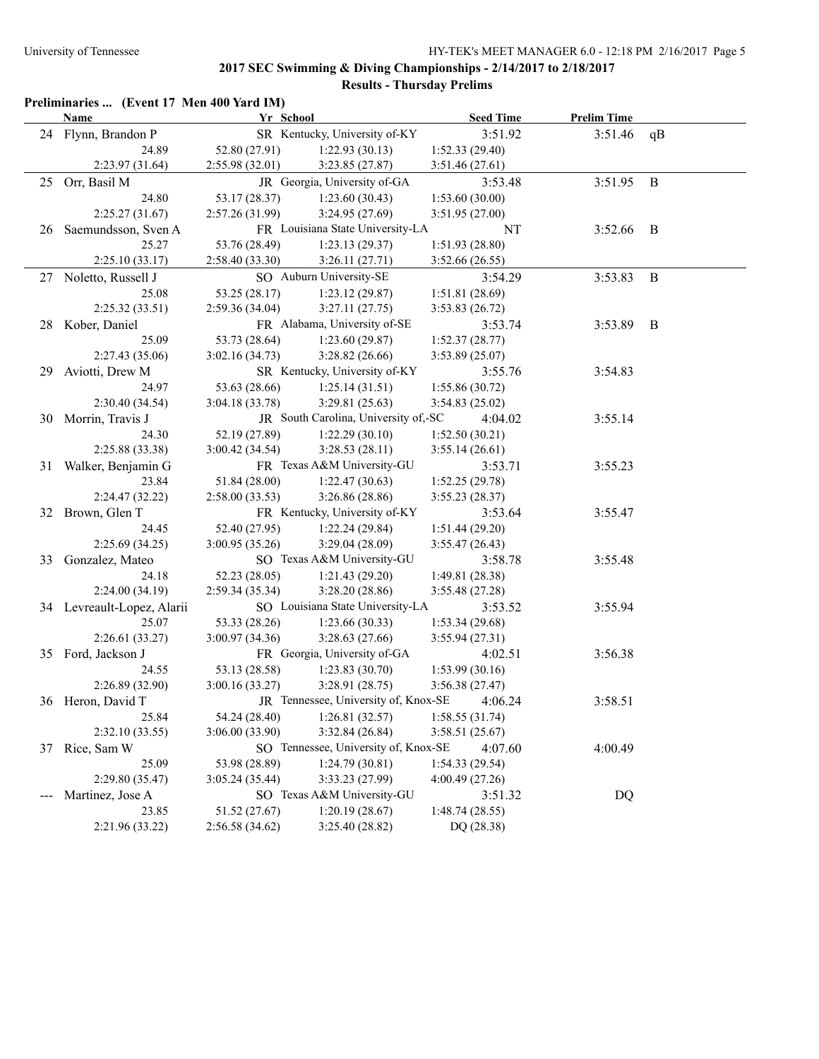# **Preliminaries ... (Event 17 Men 400 Yard IM)**

| <b>Name</b>                | Yr School                        |                                      | <b>Seed Time</b> | <b>Prelim Time</b> |                |
|----------------------------|----------------------------------|--------------------------------------|------------------|--------------------|----------------|
| 24 Flynn, Brandon P        |                                  | SR Kentucky, University of-KY        | 3:51.92          | 3:51.46            | qB             |
| 24.89                      | 52.80 (27.91)                    | 1:22.93(30.13)                       | 1:52.33(29.40)   |                    |                |
| 2:23.97 (31.64)            | 2:55.98(32.01)                   | 3:23.85 (27.87)                      | 3:51.46(27.61)   |                    |                |
| 25 Orr, Basil M            |                                  | JR Georgia, University of-GA         | 3:53.48          | 3:51.95 B          |                |
| 24.80                      | 53.17 (28.37)                    | 1:23.60(30.43)                       | 1:53.60(30.00)   |                    |                |
| 2:25.27(31.67)             | 2:57.26(31.99)                   | 3:24.95 (27.69)                      | 3:51.95 (27.00)  |                    |                |
| 26 Saemundsson, Sven A     | FR Louisiana State University-LA |                                      | NT               | 3:52.66 B          |                |
| 25.27                      | 53.76 (28.49)                    | 1:23.13(29.37)                       | 1:51.93(28.80)   |                    |                |
| 2:25.10(33.17)             | 2:58.40(33.30)                   | 3:26.11(27.71)                       | 3:52.66(26.55)   |                    |                |
| 27 Noletto, Russell J      |                                  | SO Auburn University-SE              | 3:54.29          | 3:53.83            | $\mathbf B$    |
| 25.08                      | 53.25(28.17)                     | 1:23.12(29.87)                       | 1:51.81(28.69)   |                    |                |
| 2:25.32(33.51)             | 2:59.36(34.04)                   | 3:27.11(27.75)                       | 3:53.83 (26.72)  |                    |                |
| 28 Kober, Daniel           |                                  | FR Alabama, University of-SE         | 3:53.74          | 3:53.89            | $\overline{B}$ |
| 25.09                      | 53.73 (28.64)                    | 1:23.60(29.87)                       | 1:52.37(28.77)   |                    |                |
| 2:27.43 (35.06)            | 3:02.16(34.73)                   | 3:28.82(26.66)                       | 3:53.89(25.07)   |                    |                |
| 29 Aviotti, Drew M         |                                  | SR Kentucky, University of-KY        | 3:55.76          | 3:54.83            |                |
| 24.97                      | 53.63 (28.66)                    | 1:25.14(31.51)                       | 1:55.86(30.72)   |                    |                |
| 2:30.40 (34.54)            | 3:04.18(33.78)                   | 3:29.81(25.63)                       | 3:54.83(25.02)   |                    |                |
| 30 Morrin, Travis J        |                                  | JR South Carolina, University of,-SC | 4:04.02          | 3:55.14            |                |
| 24.30                      | 52.19 (27.89)                    | 1:22.29(30.10)                       | 1:52.50(30.21)   |                    |                |
| 2:25.88 (33.38)            | 3:00.42(34.54)                   | 3:28.53(28.11)                       | 3:55.14(26.61)   |                    |                |
| 31 Walker, Benjamin G      |                                  | FR Texas A&M University-GU           | 3:53.71          | 3:55.23            |                |
| 23.84                      | 51.84 (28.00)                    | 1:22.47(30.63)                       | 1:52.25(29.78)   |                    |                |
| 2:24.47 (32.22)            | 2:58.00(33.53)                   | 3:26.86(28.86)                       | 3:55.23 (28.37)  |                    |                |
| 32 Brown, Glen T           |                                  | FR Kentucky, University of-KY        | 3:53.64          | 3:55.47            |                |
| 24.45                      | 52.40 (27.95)                    | 1:22.24(29.84)                       | 1:51.44(29.20)   |                    |                |
| 2:25.69(34.25)             | 3:00.95(35.26)                   | 3:29.04(28.09)                       | 3:55.47 (26.43)  |                    |                |
| 33 Gonzalez, Mateo         |                                  | SO Texas A&M University-GU           | 3:58.78          | 3:55.48            |                |
| 24.18                      | 52.23 (28.05)                    | 1:21.43(29.20)                       | 1:49.81 (28.38)  |                    |                |
| 2:24.00 (34.19)            | 2:59.34(35.34)                   | 3:28.20(28.86)                       | 3:55.48(27.28)   |                    |                |
| 34 Levreault-Lopez, Alarii |                                  | SO Louisiana State University-LA     | 3:53.52          | 3:55.94            |                |
| 25.07                      | 53.33 (28.26)                    | 1:23.66(30.33)                       | 1:53.34(29.68)   |                    |                |
| 2:26.61(33.27)             | 3:00.97(34.36)                   | 3:28.63(27.66)                       | 3:55.94(27.31)   |                    |                |
| 35 Ford, Jackson J         |                                  | FR Georgia, University of-GA         | 4:02.51          | 3:56.38            |                |
| 24.55                      | 53.13 (28.58)                    | 1:23.83(30.70)                       | 1:53.99(30.16)   |                    |                |
| 2:26.89 (32.90)            | 3:00.16(33.27)                   | 3:28.91(28.75)                       | 3:56.38(27.47)   |                    |                |
| 36 Heron, David T          |                                  | JR Tennessee, University of, Knox-SE | 4:06.24          | 3:58.51            |                |
| 25.84                      | 54.24 (28.40)                    | 1:26.81 (32.57)                      | 1:58.55(31.74)   |                    |                |
| 2:32.10(33.55)             | 3:06.00(33.90)                   | 3:32.84 (26.84)                      | 3:58.51(25.67)   |                    |                |
| 37 Rice, Sam W             |                                  | SO Tennessee, University of, Knox-SE | 4:07.60          | 4:00.49            |                |
| 25.09                      | 53.98 (28.89)                    | 1:24.79(30.81)                       | 1:54.33(29.54)   |                    |                |
| 2:29.80 (35.47)            | 3:05.24(35.44)                   | 3:33.23(27.99)                       | 4:00.49 (27.26)  |                    |                |
| Martinez, Jose A           |                                  | SO Texas A&M University-GU           | 3:51.32          | DQ                 |                |
| 23.85                      | 51.52 (27.67)                    | 1:20.19(28.67)                       | 1:48.74(28.55)   |                    |                |
| 2:21.96 (33.22)            | 2:56.58(34.62)                   | 3:25.40 (28.82)                      | DQ (28.38)       |                    |                |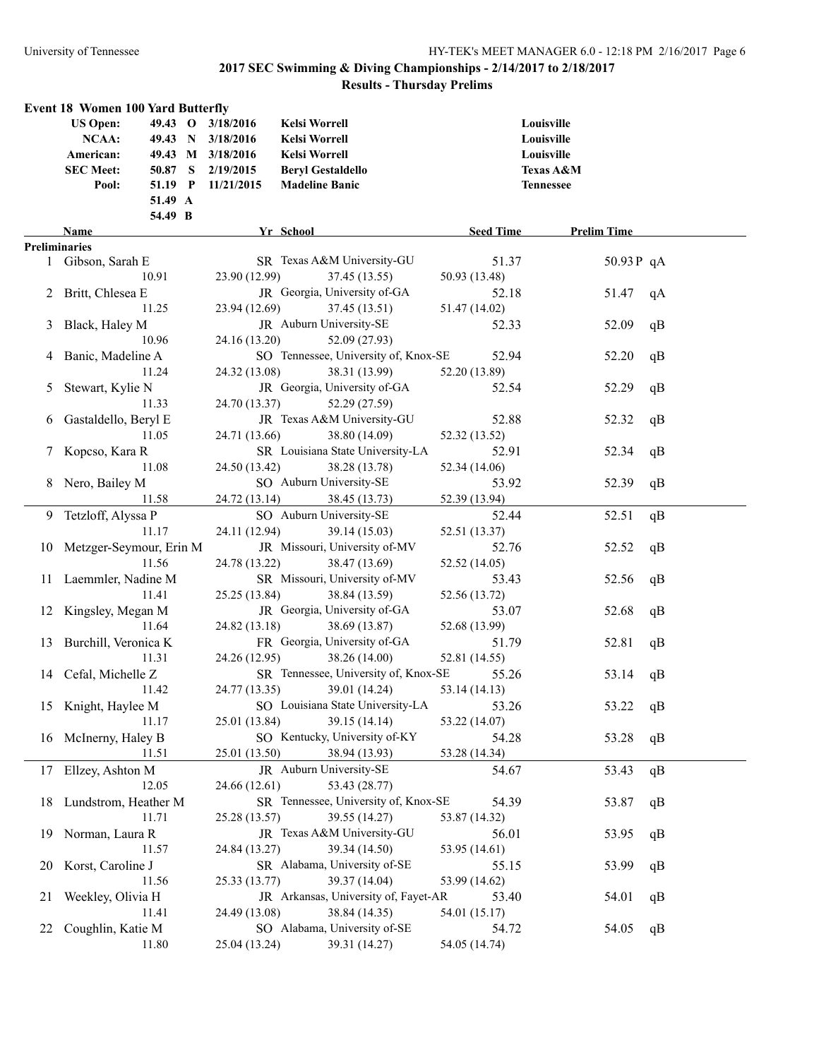|                      | <b>Event 18 Women 100 Yard Butterfly</b>                     |         |  |                   |                                               |                        |                    |    |  |
|----------------------|--------------------------------------------------------------|---------|--|-------------------|-----------------------------------------------|------------------------|--------------------|----|--|
|                      | <b>US Open:</b>                                              |         |  | 49.43 O 3/18/2016 | <b>Kelsi Worrell</b>                          |                        | Louisville         |    |  |
|                      | 3/18/2016<br><b>NCAA:</b><br>49.43 N<br><b>Kelsi Worrell</b> |         |  | Louisville        |                                               |                        |                    |    |  |
|                      | American:                                                    |         |  | 49.43 M 3/18/2016 | <b>Kelsi Worrell</b>                          | Louisville             |                    |    |  |
|                      | <b>SEC Meet:</b>                                             | 50.87 S |  | 2/19/2015         | <b>Beryl Gestaldello</b>                      | <b>Texas A&amp;M</b>   |                    |    |  |
|                      | Pool:                                                        | 51.19 P |  | 11/21/2015        | <b>Madeline Banic</b>                         | <b>Tennessee</b>       |                    |    |  |
|                      |                                                              | 51.49 A |  |                   |                                               |                        |                    |    |  |
|                      |                                                              | 54.49 B |  |                   |                                               |                        |                    |    |  |
|                      | Name                                                         |         |  |                   | Yr School                                     | <b>Seed Time</b>       | <b>Prelim Time</b> |    |  |
| <b>Preliminaries</b> |                                                              |         |  |                   | SR Texas A&M University-GU                    | 51.37                  |                    |    |  |
|                      | 1 Gibson, Sarah E                                            | 10.91   |  | 23.90 (12.99)     | 37.45 (13.55)                                 | 50.93 (13.48)          | 50.93 P qA         |    |  |
|                      | 2 Britt, Chlesea E                                           |         |  |                   | JR Georgia, University of-GA                  | 52.18                  |                    |    |  |
|                      |                                                              | 11.25   |  | 23.94 (12.69)     | 37.45(13.51)                                  | 51.47 (14.02)          | 51.47              | qA |  |
|                      | 3 Black, Haley M                                             |         |  |                   | JR Auburn University-SE                       | 52.33                  | 52.09              | qB |  |
|                      |                                                              | 10.96   |  | 24.16 (13.20)     | 52.09 (27.93)                                 |                        |                    |    |  |
|                      |                                                              |         |  |                   | SO Tennessee, University of, Knox-SE          |                        |                    |    |  |
|                      | 4 Banic, Madeline A                                          |         |  |                   |                                               | 52.94                  | 52.20              | qB |  |
|                      |                                                              | 11.24   |  | 24.32 (13.08)     | 38.31 (13.99)                                 | 52.20 (13.89)          |                    |    |  |
|                      | 5 Stewart, Kylie N                                           |         |  |                   | JR Georgia, University of-GA                  | 52.54                  | 52.29              | qB |  |
|                      |                                                              | 11.33   |  | 24.70 (13.37)     | 52.29 (27.59)                                 |                        |                    |    |  |
|                      | 6 Gastaldello, Beryl E                                       |         |  |                   | JR Texas A&M University-GU                    | 52.88                  | 52.32              | qB |  |
|                      |                                                              | 11.05   |  | 24.71 (13.66)     | 38.80 (14.09)                                 | 52.32 (13.52)          |                    |    |  |
|                      | 7 Kopcso, Kara R                                             |         |  |                   | SR Louisiana State University-LA              | 52.91                  | 52.34              | qB |  |
|                      |                                                              | 11.08   |  | 24.50 (13.42)     | 38.28 (13.78)                                 | 52.34 (14.06)          |                    |    |  |
|                      | 8 Nero, Bailey M                                             |         |  |                   | SO Auburn University-SE                       | 53.92                  | 52.39              | qB |  |
|                      |                                                              | 11.58   |  | 24.72 (13.14)     | 38.45 (13.73)                                 | 52.39 (13.94)          |                    |    |  |
|                      | 9 Tetzloff, Alyssa P                                         |         |  |                   | SO Auburn University-SE                       | 52.44                  | 52.51              | qB |  |
|                      |                                                              | 11.17   |  | 24.11 (12.94)     | 39.14 (15.03)                                 | 52.51 (13.37)          |                    |    |  |
|                      | 10 Metzger-Seymour, Erin M                                   |         |  |                   | JR Missouri, University of-MV                 | 52.76                  | 52.52              | qB |  |
|                      |                                                              | 11.56   |  | 24.78 (13.22)     | 38.47 (13.69)                                 | 52.52 (14.05)          |                    |    |  |
|                      | 11 Laemmler, Nadine M                                        |         |  |                   | SR Missouri, University of-MV                 | 53.43                  | 52.56              | qB |  |
|                      |                                                              | 11.41   |  | 25.25 (13.84)     | 38.84 (13.59)<br>JR Georgia, University of-GA | 52.56 (13.72)          |                    |    |  |
|                      | 12 Kingsley, Megan M                                         | 11.64   |  | 24.82 (13.18)     | 38.69 (13.87)                                 | 53.07<br>52.68 (13.99) | 52.68              | qB |  |
|                      |                                                              |         |  |                   | FR Georgia, University of-GA                  |                        |                    |    |  |
|                      | 13 Burchill, Veronica K                                      | 11.31   |  |                   | 38.26 (14.00)                                 | 51.79                  | 52.81              | qB |  |
|                      | 14 Cefal, Michelle Z                                         |         |  | 24.26 (12.95)     | SR Tennessee, University of, Knox-SE          | 52.81 (14.55)<br>55.26 | 53.14              | qB |  |
|                      |                                                              | 11.42   |  | 24.77 (13.35)     | 39.01 (14.24)                                 | 53.14(14.13)           |                    |    |  |
|                      | 15 Knight, Haylee M                                          |         |  |                   | SO Louisiana State University-LA              | 53.26                  | 53.22              |    |  |
|                      |                                                              | 11.17   |  | 25.01 (13.84)     | 39.15 (14.14)                                 | 53.22 (14.07)          |                    | qB |  |
|                      | 16 McInerny, Haley B                                         |         |  |                   | SO Kentucky, University of-KY                 | 54.28                  | 53.28              | qB |  |
|                      |                                                              | 11.51   |  | 25.01 (13.50)     | 38.94 (13.93)                                 | 53.28 (14.34)          |                    |    |  |
|                      | 17 Ellzey, Ashton M                                          |         |  |                   | JR Auburn University-SE                       | 54.67                  | 53.43              | qB |  |
|                      |                                                              | 12.05   |  | 24.66 (12.61)     | 53.43 (28.77)                                 |                        |                    |    |  |
|                      | 18 Lundstrom, Heather M                                      |         |  |                   | SR Tennessee, University of, Knox-SE          | 54.39                  | 53.87              | qB |  |
|                      |                                                              | 11.71   |  | 25.28 (13.57)     | 39.55 (14.27)                                 | 53.87 (14.32)          |                    |    |  |
| 19                   | Norman, Laura R                                              |         |  |                   | JR Texas A&M University-GU                    | 56.01                  | 53.95              | qB |  |
|                      |                                                              | 11.57   |  | 24.84 (13.27)     | 39.34 (14.50)                                 | 53.95 (14.61)          |                    |    |  |
| 20                   | Korst, Caroline J                                            |         |  |                   | SR Alabama, University of-SE                  | 55.15                  | 53.99              | qB |  |
|                      |                                                              | 11.56   |  | 25.33 (13.77)     | 39.37 (14.04)                                 | 53.99 (14.62)          |                    |    |  |
| 21                   | Weekley, Olivia H                                            |         |  |                   | JR Arkansas, University of, Fayet-AR          | 53.40                  | 54.01              | qB |  |
|                      |                                                              | 11.41   |  | 24.49 (13.08)     | 38.84 (14.35)                                 | 54.01 (15.17)          |                    |    |  |
| 22                   | Coughlin, Katie M                                            |         |  |                   | SO Alabama, University of-SE                  | 54.72                  | 54.05              | qB |  |
|                      |                                                              | 11.80   |  | 25.04 (13.24)     | 39.31 (14.27)                                 | 54.05 (14.74)          |                    |    |  |
|                      |                                                              |         |  |                   |                                               |                        |                    |    |  |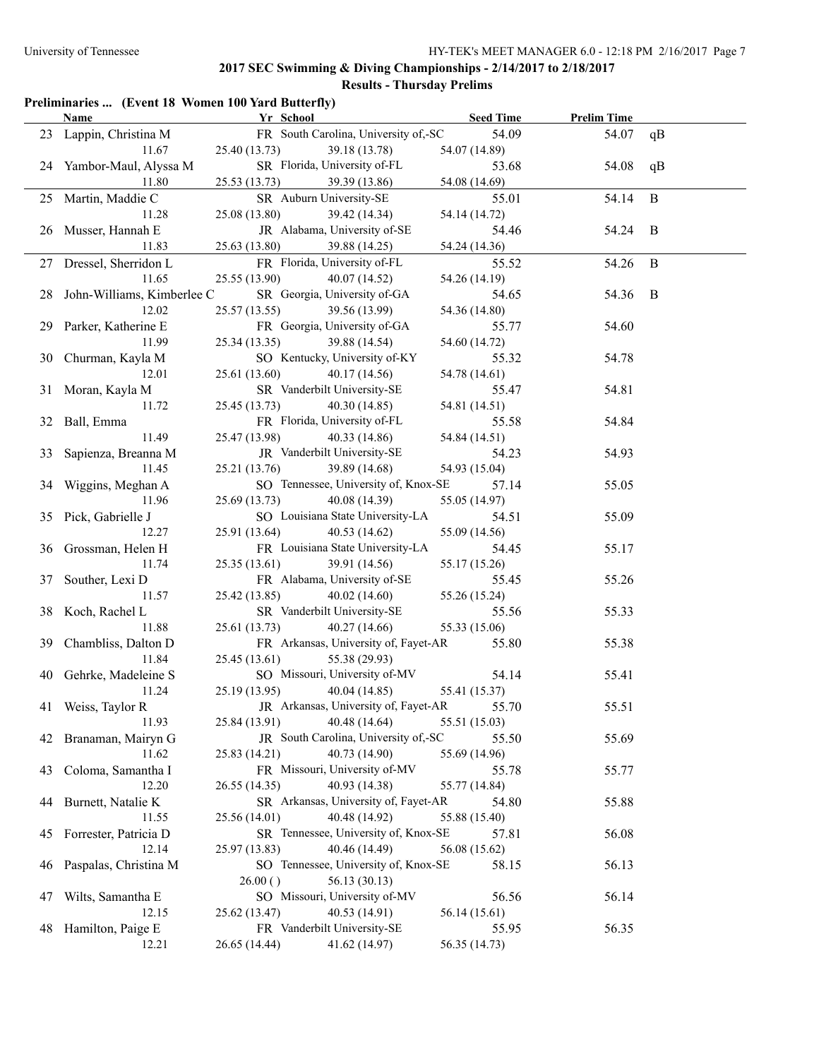| 23 Lappin, Christina M<br>11.67<br>24 Yambor-Maul, Alyssa M<br>11.80<br>25 Martin, Maddie C<br>11.28<br>26 Musser, Hannah E<br>11.83<br>27 Dressel, Sherridon L<br>11.65<br>John-Williams, Kimberlee C<br>12.02 | 25.40(13.73)<br>25.53(13.73)<br>25.08 (13.80)<br>25.63 (13.80)<br>25.55 (13.90)                                                                                                                                                                                                                                                                                                                                                                 | FR South Carolina, University of,-SC<br>39.18 (13.78)<br>SR Florida, University of-FL<br>39.39 (13.86)<br>SR Auburn University-SE<br>39.42 (14.34)<br>JR Alabama, University of-SE<br>39.88 (14.25)<br>FR Florida, University of-FL                    | 54.09<br>54.07 (14.89)<br>53.68<br>54.08 (14.69)<br>55.01<br>54.14 (14.72)<br>54.46                                                                                                                                                                                                                                                                                                                                                                                                                                                     | 54.07<br>54.08<br>54.14                                                                                                                                                                                                                                                                                                                                                                                                                                                                                                                                                                                                                                                                                                 | qB<br>qB<br>$\bf{B}$                                                                                                                |
|-----------------------------------------------------------------------------------------------------------------------------------------------------------------------------------------------------------------|-------------------------------------------------------------------------------------------------------------------------------------------------------------------------------------------------------------------------------------------------------------------------------------------------------------------------------------------------------------------------------------------------------------------------------------------------|--------------------------------------------------------------------------------------------------------------------------------------------------------------------------------------------------------------------------------------------------------|-----------------------------------------------------------------------------------------------------------------------------------------------------------------------------------------------------------------------------------------------------------------------------------------------------------------------------------------------------------------------------------------------------------------------------------------------------------------------------------------------------------------------------------------|-------------------------------------------------------------------------------------------------------------------------------------------------------------------------------------------------------------------------------------------------------------------------------------------------------------------------------------------------------------------------------------------------------------------------------------------------------------------------------------------------------------------------------------------------------------------------------------------------------------------------------------------------------------------------------------------------------------------------|-------------------------------------------------------------------------------------------------------------------------------------|
|                                                                                                                                                                                                                 |                                                                                                                                                                                                                                                                                                                                                                                                                                                 |                                                                                                                                                                                                                                                        |                                                                                                                                                                                                                                                                                                                                                                                                                                                                                                                                         |                                                                                                                                                                                                                                                                                                                                                                                                                                                                                                                                                                                                                                                                                                                         |                                                                                                                                     |
|                                                                                                                                                                                                                 |                                                                                                                                                                                                                                                                                                                                                                                                                                                 |                                                                                                                                                                                                                                                        |                                                                                                                                                                                                                                                                                                                                                                                                                                                                                                                                         |                                                                                                                                                                                                                                                                                                                                                                                                                                                                                                                                                                                                                                                                                                                         |                                                                                                                                     |
|                                                                                                                                                                                                                 |                                                                                                                                                                                                                                                                                                                                                                                                                                                 |                                                                                                                                                                                                                                                        |                                                                                                                                                                                                                                                                                                                                                                                                                                                                                                                                         |                                                                                                                                                                                                                                                                                                                                                                                                                                                                                                                                                                                                                                                                                                                         |                                                                                                                                     |
|                                                                                                                                                                                                                 |                                                                                                                                                                                                                                                                                                                                                                                                                                                 |                                                                                                                                                                                                                                                        |                                                                                                                                                                                                                                                                                                                                                                                                                                                                                                                                         |                                                                                                                                                                                                                                                                                                                                                                                                                                                                                                                                                                                                                                                                                                                         |                                                                                                                                     |
|                                                                                                                                                                                                                 |                                                                                                                                                                                                                                                                                                                                                                                                                                                 |                                                                                                                                                                                                                                                        |                                                                                                                                                                                                                                                                                                                                                                                                                                                                                                                                         |                                                                                                                                                                                                                                                                                                                                                                                                                                                                                                                                                                                                                                                                                                                         |                                                                                                                                     |
|                                                                                                                                                                                                                 |                                                                                                                                                                                                                                                                                                                                                                                                                                                 |                                                                                                                                                                                                                                                        |                                                                                                                                                                                                                                                                                                                                                                                                                                                                                                                                         |                                                                                                                                                                                                                                                                                                                                                                                                                                                                                                                                                                                                                                                                                                                         |                                                                                                                                     |
|                                                                                                                                                                                                                 |                                                                                                                                                                                                                                                                                                                                                                                                                                                 |                                                                                                                                                                                                                                                        |                                                                                                                                                                                                                                                                                                                                                                                                                                                                                                                                         | 54.24                                                                                                                                                                                                                                                                                                                                                                                                                                                                                                                                                                                                                                                                                                                   | B                                                                                                                                   |
|                                                                                                                                                                                                                 |                                                                                                                                                                                                                                                                                                                                                                                                                                                 |                                                                                                                                                                                                                                                        | 54.24 (14.36)                                                                                                                                                                                                                                                                                                                                                                                                                                                                                                                           |                                                                                                                                                                                                                                                                                                                                                                                                                                                                                                                                                                                                                                                                                                                         |                                                                                                                                     |
|                                                                                                                                                                                                                 |                                                                                                                                                                                                                                                                                                                                                                                                                                                 |                                                                                                                                                                                                                                                        | 55.52                                                                                                                                                                                                                                                                                                                                                                                                                                                                                                                                   | 54.26                                                                                                                                                                                                                                                                                                                                                                                                                                                                                                                                                                                                                                                                                                                   | $\bf{B}$                                                                                                                            |
|                                                                                                                                                                                                                 |                                                                                                                                                                                                                                                                                                                                                                                                                                                 | 40.07 (14.52)                                                                                                                                                                                                                                          | 54.26 (14.19)                                                                                                                                                                                                                                                                                                                                                                                                                                                                                                                           |                                                                                                                                                                                                                                                                                                                                                                                                                                                                                                                                                                                                                                                                                                                         |                                                                                                                                     |
|                                                                                                                                                                                                                 |                                                                                                                                                                                                                                                                                                                                                                                                                                                 | SR Georgia, University of-GA                                                                                                                                                                                                                           | 54.65                                                                                                                                                                                                                                                                                                                                                                                                                                                                                                                                   | 54.36                                                                                                                                                                                                                                                                                                                                                                                                                                                                                                                                                                                                                                                                                                                   | $\mathbf{B}$                                                                                                                        |
|                                                                                                                                                                                                                 | 25.57 (13.55)                                                                                                                                                                                                                                                                                                                                                                                                                                   | 39.56 (13.99)                                                                                                                                                                                                                                          | 54.36 (14.80)                                                                                                                                                                                                                                                                                                                                                                                                                                                                                                                           |                                                                                                                                                                                                                                                                                                                                                                                                                                                                                                                                                                                                                                                                                                                         |                                                                                                                                     |
| 29 Parker, Katherine E                                                                                                                                                                                          |                                                                                                                                                                                                                                                                                                                                                                                                                                                 | FR Georgia, University of-GA                                                                                                                                                                                                                           | 55.77                                                                                                                                                                                                                                                                                                                                                                                                                                                                                                                                   | 54.60                                                                                                                                                                                                                                                                                                                                                                                                                                                                                                                                                                                                                                                                                                                   |                                                                                                                                     |
| 11.99                                                                                                                                                                                                           | 25.34(13.35)                                                                                                                                                                                                                                                                                                                                                                                                                                    | 39.88 (14.54)                                                                                                                                                                                                                                          | 54.60 (14.72)                                                                                                                                                                                                                                                                                                                                                                                                                                                                                                                           |                                                                                                                                                                                                                                                                                                                                                                                                                                                                                                                                                                                                                                                                                                                         |                                                                                                                                     |
| 30 Churman, Kayla M                                                                                                                                                                                             |                                                                                                                                                                                                                                                                                                                                                                                                                                                 | SO Kentucky, University of-KY                                                                                                                                                                                                                          | 55.32                                                                                                                                                                                                                                                                                                                                                                                                                                                                                                                                   | 54.78                                                                                                                                                                                                                                                                                                                                                                                                                                                                                                                                                                                                                                                                                                                   |                                                                                                                                     |
|                                                                                                                                                                                                                 |                                                                                                                                                                                                                                                                                                                                                                                                                                                 |                                                                                                                                                                                                                                                        |                                                                                                                                                                                                                                                                                                                                                                                                                                                                                                                                         |                                                                                                                                                                                                                                                                                                                                                                                                                                                                                                                                                                                                                                                                                                                         |                                                                                                                                     |
|                                                                                                                                                                                                                 |                                                                                                                                                                                                                                                                                                                                                                                                                                                 |                                                                                                                                                                                                                                                        |                                                                                                                                                                                                                                                                                                                                                                                                                                                                                                                                         |                                                                                                                                                                                                                                                                                                                                                                                                                                                                                                                                                                                                                                                                                                                         |                                                                                                                                     |
|                                                                                                                                                                                                                 |                                                                                                                                                                                                                                                                                                                                                                                                                                                 |                                                                                                                                                                                                                                                        |                                                                                                                                                                                                                                                                                                                                                                                                                                                                                                                                         |                                                                                                                                                                                                                                                                                                                                                                                                                                                                                                                                                                                                                                                                                                                         |                                                                                                                                     |
|                                                                                                                                                                                                                 |                                                                                                                                                                                                                                                                                                                                                                                                                                                 |                                                                                                                                                                                                                                                        |                                                                                                                                                                                                                                                                                                                                                                                                                                                                                                                                         |                                                                                                                                                                                                                                                                                                                                                                                                                                                                                                                                                                                                                                                                                                                         |                                                                                                                                     |
|                                                                                                                                                                                                                 |                                                                                                                                                                                                                                                                                                                                                                                                                                                 |                                                                                                                                                                                                                                                        |                                                                                                                                                                                                                                                                                                                                                                                                                                                                                                                                         |                                                                                                                                                                                                                                                                                                                                                                                                                                                                                                                                                                                                                                                                                                                         |                                                                                                                                     |
|                                                                                                                                                                                                                 |                                                                                                                                                                                                                                                                                                                                                                                                                                                 |                                                                                                                                                                                                                                                        |                                                                                                                                                                                                                                                                                                                                                                                                                                                                                                                                         |                                                                                                                                                                                                                                                                                                                                                                                                                                                                                                                                                                                                                                                                                                                         |                                                                                                                                     |
|                                                                                                                                                                                                                 |                                                                                                                                                                                                                                                                                                                                                                                                                                                 |                                                                                                                                                                                                                                                        |                                                                                                                                                                                                                                                                                                                                                                                                                                                                                                                                         |                                                                                                                                                                                                                                                                                                                                                                                                                                                                                                                                                                                                                                                                                                                         |                                                                                                                                     |
|                                                                                                                                                                                                                 |                                                                                                                                                                                                                                                                                                                                                                                                                                                 |                                                                                                                                                                                                                                                        |                                                                                                                                                                                                                                                                                                                                                                                                                                                                                                                                         |                                                                                                                                                                                                                                                                                                                                                                                                                                                                                                                                                                                                                                                                                                                         |                                                                                                                                     |
|                                                                                                                                                                                                                 |                                                                                                                                                                                                                                                                                                                                                                                                                                                 |                                                                                                                                                                                                                                                        |                                                                                                                                                                                                                                                                                                                                                                                                                                                                                                                                         |                                                                                                                                                                                                                                                                                                                                                                                                                                                                                                                                                                                                                                                                                                                         |                                                                                                                                     |
|                                                                                                                                                                                                                 |                                                                                                                                                                                                                                                                                                                                                                                                                                                 |                                                                                                                                                                                                                                                        |                                                                                                                                                                                                                                                                                                                                                                                                                                                                                                                                         |                                                                                                                                                                                                                                                                                                                                                                                                                                                                                                                                                                                                                                                                                                                         |                                                                                                                                     |
|                                                                                                                                                                                                                 |                                                                                                                                                                                                                                                                                                                                                                                                                                                 |                                                                                                                                                                                                                                                        |                                                                                                                                                                                                                                                                                                                                                                                                                                                                                                                                         |                                                                                                                                                                                                                                                                                                                                                                                                                                                                                                                                                                                                                                                                                                                         |                                                                                                                                     |
|                                                                                                                                                                                                                 |                                                                                                                                                                                                                                                                                                                                                                                                                                                 |                                                                                                                                                                                                                                                        |                                                                                                                                                                                                                                                                                                                                                                                                                                                                                                                                         |                                                                                                                                                                                                                                                                                                                                                                                                                                                                                                                                                                                                                                                                                                                         |                                                                                                                                     |
|                                                                                                                                                                                                                 |                                                                                                                                                                                                                                                                                                                                                                                                                                                 |                                                                                                                                                                                                                                                        |                                                                                                                                                                                                                                                                                                                                                                                                                                                                                                                                         |                                                                                                                                                                                                                                                                                                                                                                                                                                                                                                                                                                                                                                                                                                                         |                                                                                                                                     |
| 11.74                                                                                                                                                                                                           |                                                                                                                                                                                                                                                                                                                                                                                                                                                 | 39.91 (14.56)                                                                                                                                                                                                                                          | 55.17 (15.26)                                                                                                                                                                                                                                                                                                                                                                                                                                                                                                                           |                                                                                                                                                                                                                                                                                                                                                                                                                                                                                                                                                                                                                                                                                                                         |                                                                                                                                     |
| Souther, Lexi D                                                                                                                                                                                                 |                                                                                                                                                                                                                                                                                                                                                                                                                                                 |                                                                                                                                                                                                                                                        | 55.45                                                                                                                                                                                                                                                                                                                                                                                                                                                                                                                                   | 55.26                                                                                                                                                                                                                                                                                                                                                                                                                                                                                                                                                                                                                                                                                                                   |                                                                                                                                     |
| 11.57                                                                                                                                                                                                           | 25.42 (13.85)                                                                                                                                                                                                                                                                                                                                                                                                                                   | 40.02(14.60)                                                                                                                                                                                                                                           | 55.26 (15.24)                                                                                                                                                                                                                                                                                                                                                                                                                                                                                                                           |                                                                                                                                                                                                                                                                                                                                                                                                                                                                                                                                                                                                                                                                                                                         |                                                                                                                                     |
| 38 Koch, Rachel L                                                                                                                                                                                               |                                                                                                                                                                                                                                                                                                                                                                                                                                                 |                                                                                                                                                                                                                                                        | 55.56                                                                                                                                                                                                                                                                                                                                                                                                                                                                                                                                   | 55.33                                                                                                                                                                                                                                                                                                                                                                                                                                                                                                                                                                                                                                                                                                                   |                                                                                                                                     |
| 11.88                                                                                                                                                                                                           | 25.61 (13.73)                                                                                                                                                                                                                                                                                                                                                                                                                                   | 40.27(14.66)                                                                                                                                                                                                                                           | 55.33 (15.06)                                                                                                                                                                                                                                                                                                                                                                                                                                                                                                                           |                                                                                                                                                                                                                                                                                                                                                                                                                                                                                                                                                                                                                                                                                                                         |                                                                                                                                     |
|                                                                                                                                                                                                                 |                                                                                                                                                                                                                                                                                                                                                                                                                                                 |                                                                                                                                                                                                                                                        |                                                                                                                                                                                                                                                                                                                                                                                                                                                                                                                                         |                                                                                                                                                                                                                                                                                                                                                                                                                                                                                                                                                                                                                                                                                                                         |                                                                                                                                     |
|                                                                                                                                                                                                                 |                                                                                                                                                                                                                                                                                                                                                                                                                                                 |                                                                                                                                                                                                                                                        |                                                                                                                                                                                                                                                                                                                                                                                                                                                                                                                                         |                                                                                                                                                                                                                                                                                                                                                                                                                                                                                                                                                                                                                                                                                                                         |                                                                                                                                     |
|                                                                                                                                                                                                                 |                                                                                                                                                                                                                                                                                                                                                                                                                                                 |                                                                                                                                                                                                                                                        |                                                                                                                                                                                                                                                                                                                                                                                                                                                                                                                                         |                                                                                                                                                                                                                                                                                                                                                                                                                                                                                                                                                                                                                                                                                                                         |                                                                                                                                     |
|                                                                                                                                                                                                                 |                                                                                                                                                                                                                                                                                                                                                                                                                                                 |                                                                                                                                                                                                                                                        |                                                                                                                                                                                                                                                                                                                                                                                                                                                                                                                                         |                                                                                                                                                                                                                                                                                                                                                                                                                                                                                                                                                                                                                                                                                                                         |                                                                                                                                     |
|                                                                                                                                                                                                                 |                                                                                                                                                                                                                                                                                                                                                                                                                                                 |                                                                                                                                                                                                                                                        |                                                                                                                                                                                                                                                                                                                                                                                                                                                                                                                                         |                                                                                                                                                                                                                                                                                                                                                                                                                                                                                                                                                                                                                                                                                                                         |                                                                                                                                     |
|                                                                                                                                                                                                                 |                                                                                                                                                                                                                                                                                                                                                                                                                                                 |                                                                                                                                                                                                                                                        |                                                                                                                                                                                                                                                                                                                                                                                                                                                                                                                                         |                                                                                                                                                                                                                                                                                                                                                                                                                                                                                                                                                                                                                                                                                                                         |                                                                                                                                     |
|                                                                                                                                                                                                                 |                                                                                                                                                                                                                                                                                                                                                                                                                                                 |                                                                                                                                                                                                                                                        |                                                                                                                                                                                                                                                                                                                                                                                                                                                                                                                                         |                                                                                                                                                                                                                                                                                                                                                                                                                                                                                                                                                                                                                                                                                                                         |                                                                                                                                     |
|                                                                                                                                                                                                                 |                                                                                                                                                                                                                                                                                                                                                                                                                                                 |                                                                                                                                                                                                                                                        |                                                                                                                                                                                                                                                                                                                                                                                                                                                                                                                                         |                                                                                                                                                                                                                                                                                                                                                                                                                                                                                                                                                                                                                                                                                                                         |                                                                                                                                     |
|                                                                                                                                                                                                                 |                                                                                                                                                                                                                                                                                                                                                                                                                                                 |                                                                                                                                                                                                                                                        |                                                                                                                                                                                                                                                                                                                                                                                                                                                                                                                                         |                                                                                                                                                                                                                                                                                                                                                                                                                                                                                                                                                                                                                                                                                                                         |                                                                                                                                     |
|                                                                                                                                                                                                                 |                                                                                                                                                                                                                                                                                                                                                                                                                                                 |                                                                                                                                                                                                                                                        |                                                                                                                                                                                                                                                                                                                                                                                                                                                                                                                                         |                                                                                                                                                                                                                                                                                                                                                                                                                                                                                                                                                                                                                                                                                                                         |                                                                                                                                     |
|                                                                                                                                                                                                                 |                                                                                                                                                                                                                                                                                                                                                                                                                                                 |                                                                                                                                                                                                                                                        |                                                                                                                                                                                                                                                                                                                                                                                                                                                                                                                                         |                                                                                                                                                                                                                                                                                                                                                                                                                                                                                                                                                                                                                                                                                                                         |                                                                                                                                     |
|                                                                                                                                                                                                                 |                                                                                                                                                                                                                                                                                                                                                                                                                                                 |                                                                                                                                                                                                                                                        |                                                                                                                                                                                                                                                                                                                                                                                                                                                                                                                                         |                                                                                                                                                                                                                                                                                                                                                                                                                                                                                                                                                                                                                                                                                                                         |                                                                                                                                     |
|                                                                                                                                                                                                                 |                                                                                                                                                                                                                                                                                                                                                                                                                                                 |                                                                                                                                                                                                                                                        |                                                                                                                                                                                                                                                                                                                                                                                                                                                                                                                                         |                                                                                                                                                                                                                                                                                                                                                                                                                                                                                                                                                                                                                                                                                                                         |                                                                                                                                     |
| Forrester, Patricia D                                                                                                                                                                                           |                                                                                                                                                                                                                                                                                                                                                                                                                                                 |                                                                                                                                                                                                                                                        | 57.81                                                                                                                                                                                                                                                                                                                                                                                                                                                                                                                                   |                                                                                                                                                                                                                                                                                                                                                                                                                                                                                                                                                                                                                                                                                                                         |                                                                                                                                     |
| 12.14                                                                                                                                                                                                           | 25.97 (13.83)                                                                                                                                                                                                                                                                                                                                                                                                                                   | 40.46 (14.49)                                                                                                                                                                                                                                          | 56.08 (15.62)                                                                                                                                                                                                                                                                                                                                                                                                                                                                                                                           |                                                                                                                                                                                                                                                                                                                                                                                                                                                                                                                                                                                                                                                                                                                         |                                                                                                                                     |
| Paspalas, Christina M                                                                                                                                                                                           |                                                                                                                                                                                                                                                                                                                                                                                                                                                 |                                                                                                                                                                                                                                                        | 58.15                                                                                                                                                                                                                                                                                                                                                                                                                                                                                                                                   | 56.13                                                                                                                                                                                                                                                                                                                                                                                                                                                                                                                                                                                                                                                                                                                   |                                                                                                                                     |
|                                                                                                                                                                                                                 | 26.00()                                                                                                                                                                                                                                                                                                                                                                                                                                         | 56.13 (30.13)                                                                                                                                                                                                                                          |                                                                                                                                                                                                                                                                                                                                                                                                                                                                                                                                         |                                                                                                                                                                                                                                                                                                                                                                                                                                                                                                                                                                                                                                                                                                                         |                                                                                                                                     |
|                                                                                                                                                                                                                 |                                                                                                                                                                                                                                                                                                                                                                                                                                                 |                                                                                                                                                                                                                                                        |                                                                                                                                                                                                                                                                                                                                                                                                                                                                                                                                         |                                                                                                                                                                                                                                                                                                                                                                                                                                                                                                                                                                                                                                                                                                                         |                                                                                                                                     |
|                                                                                                                                                                                                                 |                                                                                                                                                                                                                                                                                                                                                                                                                                                 |                                                                                                                                                                                                                                                        |                                                                                                                                                                                                                                                                                                                                                                                                                                                                                                                                         |                                                                                                                                                                                                                                                                                                                                                                                                                                                                                                                                                                                                                                                                                                                         |                                                                                                                                     |
|                                                                                                                                                                                                                 |                                                                                                                                                                                                                                                                                                                                                                                                                                                 |                                                                                                                                                                                                                                                        |                                                                                                                                                                                                                                                                                                                                                                                                                                                                                                                                         |                                                                                                                                                                                                                                                                                                                                                                                                                                                                                                                                                                                                                                                                                                                         |                                                                                                                                     |
|                                                                                                                                                                                                                 |                                                                                                                                                                                                                                                                                                                                                                                                                                                 |                                                                                                                                                                                                                                                        |                                                                                                                                                                                                                                                                                                                                                                                                                                                                                                                                         |                                                                                                                                                                                                                                                                                                                                                                                                                                                                                                                                                                                                                                                                                                                         |                                                                                                                                     |
|                                                                                                                                                                                                                 | 12.01<br>31 Moran, Kayla M<br>11.72<br>32 Ball, Emma<br>11.49<br>Sapienza, Breanna M<br>11.45<br>Wiggins, Meghan A<br>11.96<br>35 Pick, Gabrielle J<br>12.27<br>36 Grossman, Helen H<br>39 Chambliss, Dalton D<br>11.84<br>Gehrke, Madeleine S<br>11.24<br>41 Weiss, Taylor R<br>11.93<br>Branaman, Mairyn G<br>11.62<br>Coloma, Samantha I<br>12.20<br>Burnett, Natalie K<br>11.55<br>Wilts, Samantha E<br>12.15<br>Hamilton, Paige E<br>12.21 | 25.61(13.60)<br>25.45(13.73)<br>25.47 (13.98)<br>25.21 (13.76)<br>25.69(13.73)<br>25.91 (13.64)<br>25.35(13.61)<br>25.45 (13.61)<br>25.19(13.95)<br>25.84 (13.91)<br>25.83 (14.21)<br>26.55 (14.35)<br>25.56 (14.01)<br>25.62 (13.47)<br>26.65 (14.44) | 40.17 (14.56)<br>SR Vanderbilt University-SE<br>40.30(14.85)<br>FR Florida, University of-FL<br>40.33 (14.86)<br>JR Vanderbilt University-SE<br>39.89 (14.68)<br>40.08 (14.39)<br>40.53 (14.62)<br>FR Alabama, University of-SE<br>SR Vanderbilt University-SE<br>55.38 (29.93)<br>SO Missouri, University of-MV<br>40.04(14.85)<br>40.48 (14.64)<br>40.73 (14.90)<br>FR Missouri, University of-MV<br>40.93 (14.38)<br>40.48 (14.92)<br>SO Missouri, University of-MV<br>40.53 (14.91)<br>FR Vanderbilt University-SE<br>41.62 (14.97) | 54.78 (14.61)<br>55.47<br>54.81 (14.51)<br>55.58<br>54.84 (14.51)<br>54.23<br>54.93 (15.04)<br>SO Tennessee, University of, Knox-SE<br>57.14<br>55.05 (14.97)<br>SO Louisiana State University-LA<br>54.51<br>55.09 (14.56)<br>FR Louisiana State University-LA<br>54.45<br>FR Arkansas, University of, Fayet-AR<br>55.80<br>54.14<br>55.41 (15.37)<br>JR Arkansas, University of, Fayet-AR<br>55.70<br>55.51 (15.03)<br>JR South Carolina, University of,-SC<br>55.50<br>55.69 (14.96)<br>55.78<br>55.77 (14.84)<br>SR Arkansas, University of, Fayet-AR<br>54.80<br>55.88 (15.40)<br>SR Tennessee, University of, Knox-SE<br>SO Tennessee, University of, Knox-SE<br>56.56<br>56.14 (15.61)<br>55.95<br>56.35 (14.73) | 54.81<br>54.84<br>54.93<br>55.05<br>55.09<br>55.17<br>55.38<br>55.41<br>55.51<br>55.69<br>55.77<br>55.88<br>56.08<br>56.14<br>56.35 |

#### **Preliminaries ... (Event 18 Women 100 Yard Butterfly)**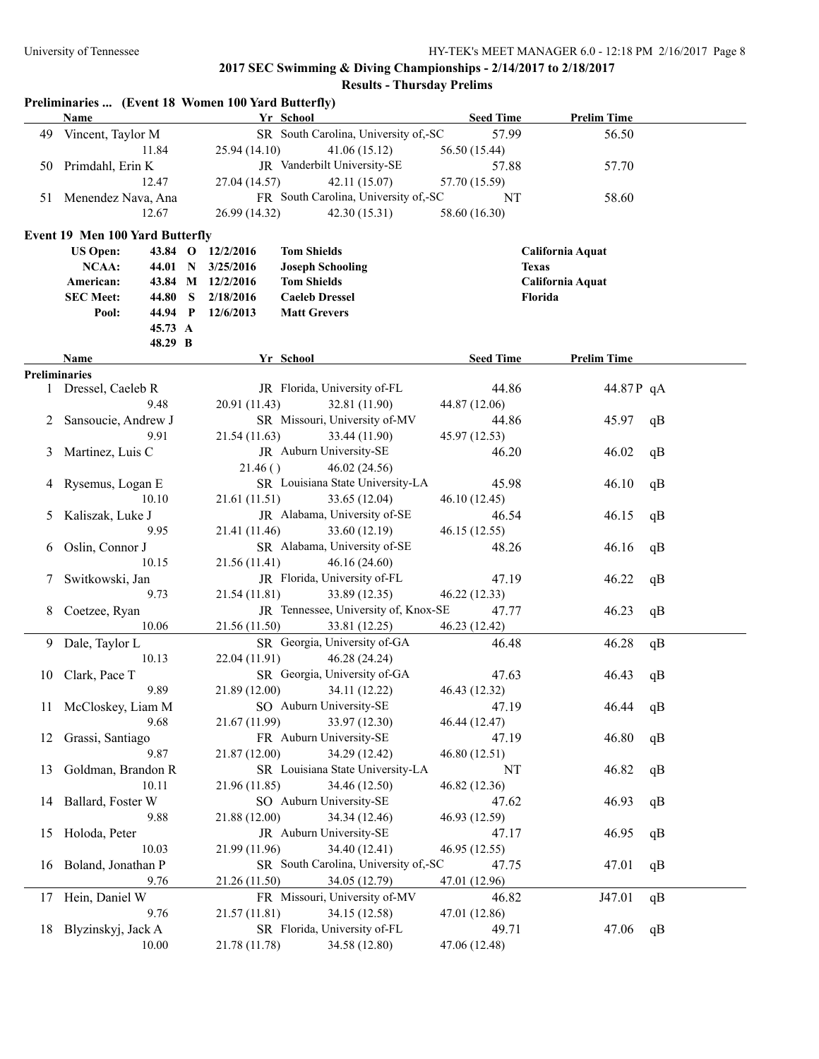|    | Preliminaries  (Event 18 Women 100 Yard Butterfly) |         |   |                   |                                      |                  |                    |    |
|----|----------------------------------------------------|---------|---|-------------------|--------------------------------------|------------------|--------------------|----|
|    | Name                                               |         |   |                   | Yr School                            | <b>Seed Time</b> | <b>Prelim Time</b> |    |
| 49 | Vincent, Taylor M                                  |         |   |                   | SR South Carolina, University of,-SC | 57.99            | 56.50              |    |
|    | 11.84                                              |         |   | 25.94(14.10)      | 41.06(15.12)                         | 56.50 (15.44)    |                    |    |
|    | 50 Primdahl, Erin K                                |         |   |                   | JR Vanderbilt University-SE          | 57.88            | 57.70              |    |
|    | 12.47                                              |         |   | 27.04 (14.57)     | 42.11 (15.07)                        | 57.70 (15.59)    |                    |    |
|    | 51 Menendez Nava, Ana<br>12.67                     |         |   |                   | FR South Carolina, University of,-SC | NT               | 58.60              |    |
|    |                                                    |         |   | 26.99 (14.32)     | 42.30(15.31)                         | 58.60 (16.30)    |                    |    |
|    | <b>Event 19 Men 100 Yard Butterfly</b>             |         |   |                   |                                      |                  |                    |    |
|    | <b>US Open:</b>                                    |         |   | 43.84 O 12/2/2016 | <b>Tom Shields</b>                   |                  | California Aquat   |    |
|    | NCAA:                                              | 44.01 N |   | 3/25/2016         | <b>Joseph Schooling</b>              | <b>Texas</b>     |                    |    |
|    | American:                                          |         |   | 43.84 M 12/2/2016 | <b>Tom Shields</b>                   |                  | California Aquat   |    |
|    | <b>SEC Meet:</b>                                   | 44.80   | S | 2/18/2016         | <b>Caeleb Dressel</b>                | Florida          |                    |    |
|    | Pool:                                              | 44.94 P |   | 12/6/2013         | <b>Matt Grevers</b>                  |                  |                    |    |
|    |                                                    | 45.73 A |   |                   |                                      |                  |                    |    |
|    |                                                    | 48.29 B |   |                   |                                      |                  |                    |    |
|    | Name                                               |         |   |                   | Yr School                            | <b>Seed Time</b> | <b>Prelim Time</b> |    |
|    | <b>Preliminaries</b><br>1 Dressel, Caeleb R        |         |   |                   | JR Florida, University of-FL         | 44.86            | 44.87P qA          |    |
|    | 9.48                                               |         |   | 20.91 (11.43)     | 32.81 (11.90)                        | 44.87 (12.06)    |                    |    |
| 2  | Sansoucie, Andrew J                                |         |   |                   | SR Missouri, University of-MV        | 44.86            | 45.97              | qB |
|    | 9.91                                               |         |   | 21.54(11.63)      | 33.44 (11.90)                        | 45.97 (12.53)    |                    |    |
| 3  | Martinez, Luis C                                   |         |   |                   | JR Auburn University-SE              | 46.20            | 46.02              | qB |
|    |                                                    |         |   | 21.46()           | 46.02 (24.56)                        |                  |                    |    |
|    | Rysemus, Logan E                                   |         |   |                   | SR Louisiana State University-LA     | 45.98            | 46.10              |    |
| 4  | 10.10                                              |         |   | 21.61 (11.51)     | 33.65 (12.04)                        |                  |                    | qB |
|    |                                                    |         |   |                   | JR Alabama, University of-SE         | 46.10 (12.45)    |                    |    |
| 5  | Kaliszak, Luke J<br>9.95                           |         |   |                   |                                      | 46.54            | 46.15              | qB |
|    |                                                    |         |   | 21.41 (11.46)     | 33.60 (12.19)                        | 46.15 (12.55)    |                    |    |
| 6  | Oslin, Connor J                                    |         |   |                   | SR Alabama, University of-SE         | 48.26            | 46.16              | qB |
|    | 10.15                                              |         |   | 21.56 (11.41)     | 46.16 (24.60)                        |                  |                    |    |
| 7  | Switkowski, Jan                                    |         |   |                   | JR Florida, University of-FL         | 47.19            | 46.22              | qB |
|    | 9.73                                               |         |   | 21.54 (11.81)     | 33.89 (12.35)                        | 46.22 (12.33)    |                    |    |
| 8  | Coetzee, Ryan                                      |         |   |                   | JR Tennessee, University of, Knox-SE | 47.77            | 46.23              | qB |
|    | 10.06                                              |         |   | 21.56 (11.50)     | 33.81 (12.25)                        | 46.23 (12.42)    |                    |    |
|    | 9 Dale, Taylor L                                   |         |   |                   | SR Georgia, University of-GA         | 46.48            | 46.28              | qB |
|    | 10.13                                              |         |   | 22.04 (11.91)     | 46.28 (24.24)                        |                  |                    |    |
|    | 10 Clark, Pace T                                   |         |   |                   | SR Georgia, University of-GA         | 47.63            | 46.43              | qB |
|    | 9.89                                               |         |   |                   | 21.89 (12.00) 34.11 (12.22)          | 46.43 (12.32)    |                    |    |
|    | 11 McCloskey, Liam M                               |         |   |                   | SO Auburn University-SE              | 47.19            | 46.44              | qB |
|    | 9.68                                               |         |   | 21.67 (11.99)     | 33.97 (12.30)                        | 46.44 (12.47)    |                    |    |
| 12 | Grassi, Santiago                                   |         |   |                   | FR Auburn University-SE              | 47.19            | 46.80              | qB |
|    | 9.87                                               |         |   | 21.87 (12.00)     | 34.29 (12.42)                        | 46.80 (12.51)    |                    |    |
| 13 | Goldman, Brandon R                                 |         |   |                   | SR Louisiana State University-LA     | NT               | 46.82              | qB |
|    | 10.11                                              |         |   | 21.96 (11.85)     | 34.46 (12.50)                        | 46.82 (12.36)    |                    |    |
| 14 | Ballard, Foster W                                  |         |   |                   | SO Auburn University-SE              | 47.62            | 46.93              | qB |
|    | 9.88                                               |         |   | 21.88 (12.00)     | 34.34 (12.46)                        | 46.93 (12.59)    |                    |    |
| 15 | Holoda, Peter                                      |         |   |                   | JR Auburn University-SE              | 47.17            | 46.95              | qB |
|    | 10.03                                              |         |   | 21.99 (11.96)     | 34.40 (12.41)                        | 46.95 (12.55)    |                    |    |
|    | 16 Boland, Jonathan P                              |         |   |                   | SR South Carolina, University of,-SC | 47.75            | 47.01              | qB |
|    | 9.76                                               |         |   | 21.26 (11.50)     | 34.05 (12.79)                        | 47.01 (12.96)    |                    |    |
|    | 17 Hein, Daniel W                                  |         |   |                   | FR Missouri, University of-MV        | 46.82            | J47.01             | qB |
|    | 9.76                                               |         |   | 21.57 (11.81)     | 34.15 (12.58)                        | 47.01 (12.86)    |                    |    |
| 18 | Blyzinskyj, Jack A                                 |         |   |                   | SR Florida, University of-FL         | 49.71            | 47.06              | qB |
|    | 10.00                                              |         |   | 21.78 (11.78)     | 34.58 (12.80)                        | 47.06 (12.48)    |                    |    |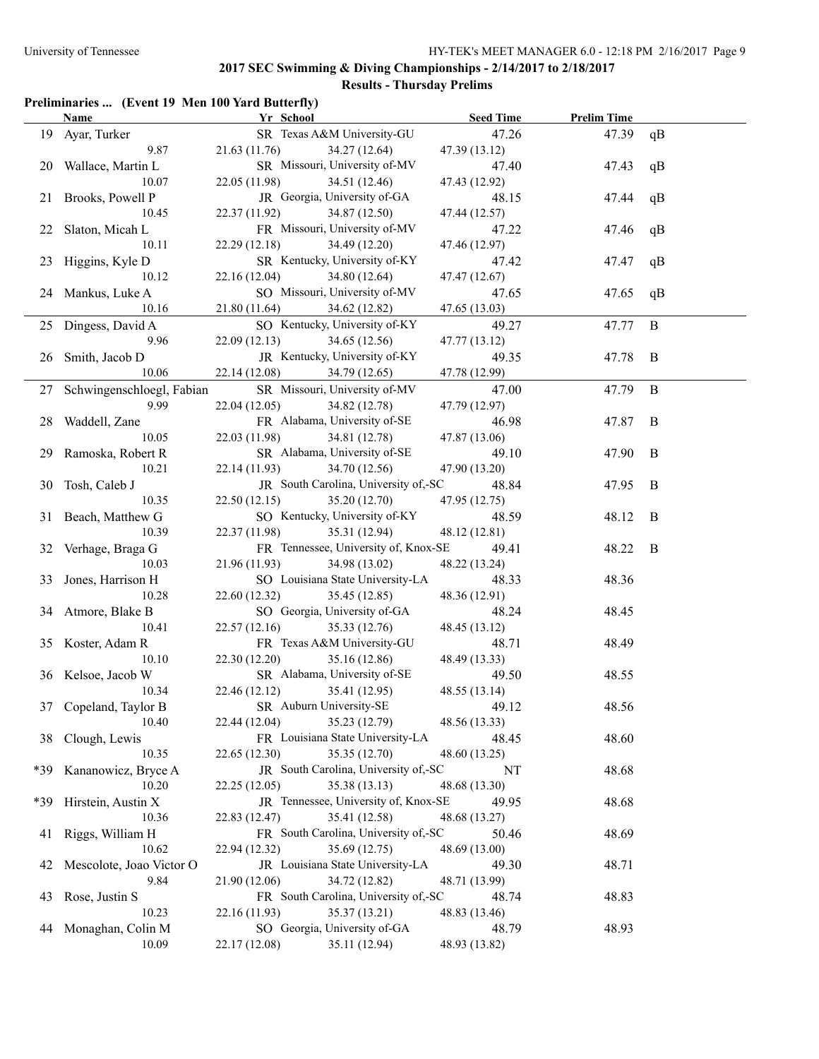#### **Preliminaries ... (Event 19 Men 100 Yard Butterfly)**

|     | Name                      | Yr School                            | <b>Seed Time</b> | <b>Prelim Time</b> |             |
|-----|---------------------------|--------------------------------------|------------------|--------------------|-------------|
|     | 19 Ayar, Turker           | SR Texas A&M University-GU           | 47.26            | 47.39              | qB          |
|     | 9.87                      | 21.63(11.76)<br>34.27 (12.64)        | 47.39 (13.12)    |                    |             |
|     | 20 Wallace, Martin L      | SR Missouri, University of-MV        | 47.40            | 47.43              | qB          |
|     | 10.07                     | 22.05 (11.98)<br>34.51 (12.46)       | 47.43 (12.92)    |                    |             |
| 21  | Brooks, Powell P          | JR Georgia, University of-GA         | 48.15            | 47.44              | qB          |
|     | 10.45                     | 22.37 (11.92)<br>34.87 (12.50)       | 47.44 (12.57)    |                    |             |
| 22  | Slaton, Micah L           | FR Missouri, University of-MV        | 47.22            | 47.46              | qB          |
|     | 10.11                     | 22.29 (12.18)<br>34.49 (12.20)       | 47.46 (12.97)    |                    |             |
|     | 23 Higgins, Kyle D        | SR Kentucky, University of-KY        | 47.42            | 47.47              | qB          |
|     | 10.12                     | 22.16 (12.04)<br>34.80 (12.64)       | 47.47 (12.67)    |                    |             |
|     | 24 Mankus, Luke A         | SO Missouri, University of-MV        | 47.65            | 47.65              | qB          |
|     | 10.16                     | 21.80 (11.64)<br>34.62 (12.82)       | 47.65 (13.03)    |                    |             |
|     | 25 Dingess, David A       | SO Kentucky, University of-KY        | 49.27            | 47.77              | $\mathbf B$ |
|     | 9.96                      | 22.09(12.13)<br>34.65 (12.56)        | 47.77 (13.12)    |                    |             |
|     | 26 Smith, Jacob D         | JR Kentucky, University of-KY        | 49.35            | 47.78              | B           |
|     | 10.06                     | 22.14 (12.08)<br>34.79 (12.65)       | 47.78 (12.99)    |                    |             |
| 27  | Schwingenschloegl, Fabian | SR Missouri, University of-MV        | 47.00            | 47.79              | B           |
|     | 9.99                      | 22.04 (12.05)<br>34.82 (12.78)       | 47.79 (12.97)    |                    |             |
| 28  | Waddell, Zane             | FR Alabama, University of-SE         | 46.98            | 47.87              | B           |
|     | 10.05                     | 22.03 (11.98)<br>34.81 (12.78)       | 47.87 (13.06)    |                    |             |
|     | 29 Ramoska, Robert R      | SR Alabama, University of-SE         | 49.10            | 47.90              | B           |
|     | 10.21                     | 22.14 (11.93)<br>34.70 (12.56)       | 47.90 (13.20)    |                    |             |
| 30  | Tosh, Caleb J             | JR South Carolina, University of,-SC | 48.84            | 47.95              | B           |
|     | 10.35                     | 22.50(12.15)<br>35.20 (12.70)        | 47.95 (12.75)    |                    |             |
| 31  | Beach, Matthew G          | SO Kentucky, University of-KY        | 48.59            | 48.12              | B           |
|     | 10.39                     | 22.37 (11.98)<br>35.31 (12.94)       | 48.12 (12.81)    |                    |             |
| 32  | Verhage, Braga G          | FR Tennessee, University of, Knox-SE | 49.41            | 48.22              | B           |
|     | 10.03                     | 21.96 (11.93)<br>34.98 (13.02)       | 48.22 (13.24)    |                    |             |
|     | 33 Jones, Harrison H      | SO Louisiana State University-LA     | 48.33            | 48.36              |             |
|     | 10.28                     | 22.60 (12.32)<br>35.45 (12.85)       | 48.36 (12.91)    |                    |             |
|     | 34 Atmore, Blake B        | SO Georgia, University of-GA         | 48.24            | 48.45              |             |
|     | 10.41                     | 22.57(12.16)<br>35.33 (12.76)        | 48.45 (13.12)    |                    |             |
|     | 35 Koster, Adam R         | FR Texas A&M University-GU           | 48.71            | 48.49              |             |
|     | 10.10                     | 22.30 (12.20)<br>35.16 (12.86)       | 48.49 (13.33)    |                    |             |
|     | 36 Kelsoe, Jacob W        | SR Alabama, University of-SE         | 49.50            | 48.55              |             |
|     | 10.34                     | 22.46 (12.12)<br>35.41 (12.95)       | 48.55 (13.14)    |                    |             |
|     | 37 Copeland, Taylor B     | SR Auburn University-SE              | 49.12            | 48.56              |             |
|     | 10.40                     | 35.23 (12.79)<br>22.44 (12.04)       | 48.56 (13.33)    |                    |             |
|     | 38 Clough, Lewis          | FR Louisiana State University-LA     | 48.45            | 48.60              |             |
|     | 10.35                     | 35.35 (12.70)<br>22.65 (12.30)       | 48.60 (13.25)    |                    |             |
| *39 | Kananowicz, Bryce A       | JR South Carolina, University of,-SC | NT               | 48.68              |             |
|     | 10.20                     | 35.38(13.13)<br>22.25 (12.05)        | 48.68 (13.30)    |                    |             |
| *39 | Hirstein, Austin X        | JR Tennessee, University of, Knox-SE | 49.95            | 48.68              |             |
|     | 10.36                     | 35.41 (12.58)<br>22.83 (12.47)       | 48.68 (13.27)    |                    |             |
| 41  | Riggs, William H          | FR South Carolina, University of,-SC | 50.46            | 48.69              |             |
|     | 10.62                     | 35.69 (12.75)<br>22.94 (12.32)       | 48.69 (13.00)    |                    |             |
| 42  | Mescolote, Joao Victor O  | JR Louisiana State University-LA     | 49.30            | 48.71              |             |
|     | 9.84                      | 34.72 (12.82)<br>21.90 (12.06)       | 48.71 (13.99)    |                    |             |
| 43  | Rose, Justin S            | FR South Carolina, University of,-SC | 48.74            | 48.83              |             |
|     | 10.23                     | 35.37 (13.21)<br>22.16 (11.93)       | 48.83 (13.46)    |                    |             |
|     | 44 Monaghan, Colin M      | SO Georgia, University of-GA         | 48.79            | 48.93              |             |
|     | 10.09                     | 22.17 (12.08)<br>35.11 (12.94)       | 48.93 (13.82)    |                    |             |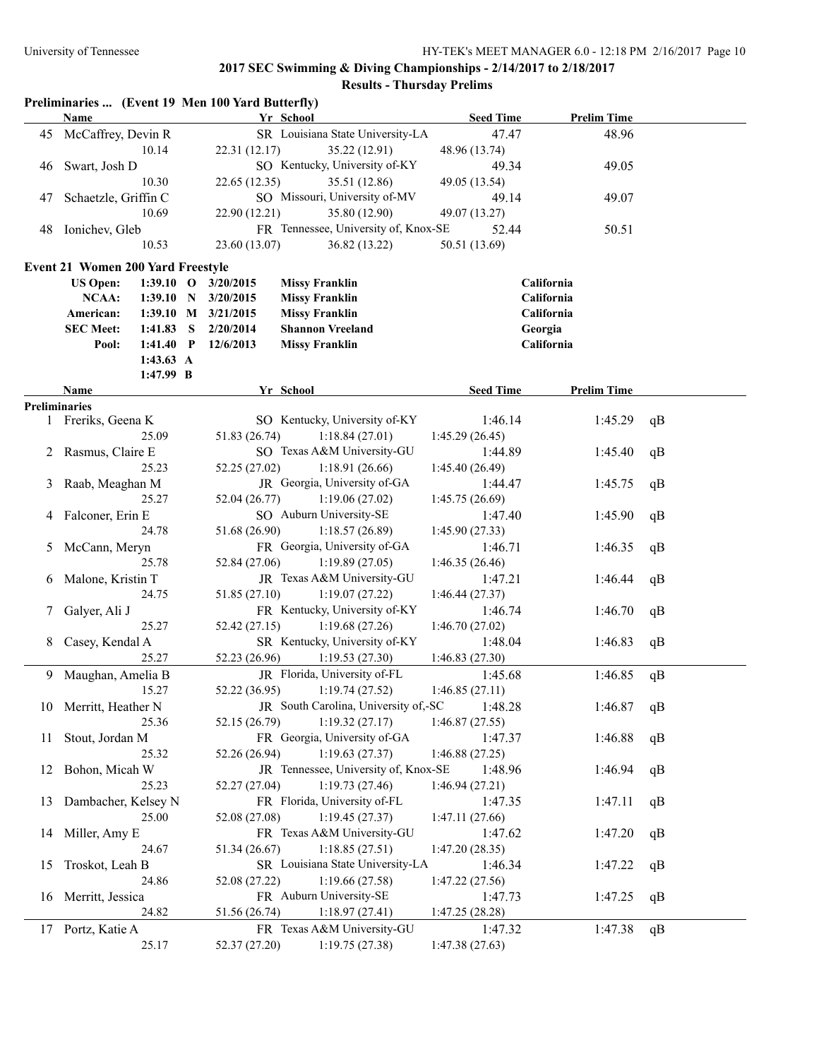|    | Name                                                        |                                    |          |                     | Yr School                            | <b>Seed Time</b> | <b>Prelim Time</b> |    |
|----|-------------------------------------------------------------|------------------------------------|----------|---------------------|--------------------------------------|------------------|--------------------|----|
| 45 | McCaffrey, Devin R                                          |                                    |          |                     | SR Louisiana State University-LA     | 47.47            | 48.96              |    |
|    |                                                             | 10.14                              |          | 22.31 (12.17)       | 35.22 (12.91)                        | 48.96 (13.74)    |                    |    |
| 46 | Swart, Josh D                                               |                                    |          |                     | SO Kentucky, University of-KY        | 49.34            | 49.05              |    |
|    |                                                             | 10.30                              |          | 22.65 (12.35)       | 35.51 (12.86)                        | 49.05 (13.54)    |                    |    |
| 47 | Schaetzle, Griffin C                                        |                                    |          |                     | SO Missouri, University of-MV        | 49.14            | 49.07              |    |
|    |                                                             | 10.69                              |          | 22.90 (12.21)       | 35.80 (12.90)                        | 49.07 (13.27)    |                    |    |
| 48 | Ionichev, Gleb                                              |                                    |          |                     | FR Tennessee, University of, Knox-SE | 52.44            | 50.51              |    |
|    |                                                             | 10.53                              |          | 23.60 (13.07)       | 36.82 (13.22)                        | 50.51 (13.69)    |                    |    |
|    |                                                             |                                    |          |                     |                                      |                  |                    |    |
|    | <b>Event 21 Women 200 Yard Freestyle</b><br><b>US Open:</b> |                                    |          | 1:39.10 O 3/20/2015 | <b>Missy Franklin</b>                |                  | California         |    |
|    | NCAA:                                                       | 1:39.10                            | N        | 3/20/2015           | <b>Missy Franklin</b>                |                  | California         |    |
|    | American:                                                   |                                    |          | 1:39.10 M 3/21/2015 | <b>Missy Franklin</b>                |                  | California         |    |
|    | <b>SEC Meet:</b>                                            | 1:41.83                            | <b>S</b> | 2/20/2014           | <b>Shannon Vreeland</b>              |                  |                    |    |
|    | Pool:                                                       |                                    |          |                     |                                      |                  | Georgia            |    |
|    |                                                             | $1:41.40$ P<br>$1:43.63 \text{ A}$ |          | 12/6/2013           | <b>Missy Franklin</b>                |                  | California         |    |
|    |                                                             | 1:47.99 B                          |          |                     |                                      |                  |                    |    |
|    | Name                                                        |                                    |          |                     | Yr School                            | <b>Seed Time</b> | <b>Prelim Time</b> |    |
|    | <b>Preliminaries</b>                                        |                                    |          |                     |                                      |                  |                    |    |
| 1  | Freriks, Geena K                                            |                                    |          |                     | SO Kentucky, University of-KY        | 1:46.14          | 1:45.29            | qB |
|    |                                                             | 25.09                              |          | 51.83 (26.74)       | 1:18.84(27.01)                       | 1:45.29(26.45)   |                    |    |
| 2  | Rasmus, Claire E                                            |                                    |          |                     | SO Texas A&M University-GU           | 1:44.89          | 1:45.40            | qB |
|    |                                                             | 25.23                              |          | 52.25 (27.02)       | 1:18.91(26.66)                       | 1:45.40(26.49)   |                    |    |
| 3  | Raab, Meaghan M                                             |                                    |          |                     | JR Georgia, University of-GA         | 1:44.47          | 1:45.75            | qB |
|    |                                                             | 25.27                              |          | 52.04 (26.77)       | 1:19.06(27.02)                       | 1:45.75(26.69)   |                    |    |
| 4  | Falconer, Erin E                                            |                                    |          |                     | SO Auburn University-SE              | 1:47.40          | 1:45.90            | qB |
|    |                                                             | 24.78                              |          | 51.68 (26.90)       | 1:18.57(26.89)                       | 1:45.90(27.33)   |                    |    |
| 5  | McCann, Meryn                                               |                                    |          |                     | FR Georgia, University of-GA         | 1:46.71          | 1:46.35            | qB |
|    |                                                             | 25.78                              |          | 52.84 (27.06)       | 1:19.89(27.05)                       | 1:46.35(26.46)   |                    |    |
|    |                                                             |                                    |          |                     | JR Texas A&M University-GU           |                  |                    |    |
| 6  | Malone, Kristin T                                           | 24.75                              |          | 51.85 (27.10)       | 1:19.07(27.22)                       | 1:47.21          | 1:46.44            | qB |
|    |                                                             |                                    |          |                     | FR Kentucky, University of-KY        | 1:46.44(27.37)   |                    |    |
| 7  | Galyer, Ali J                                               |                                    |          |                     |                                      | 1:46.74          | 1:46.70            | qB |
|    |                                                             | 25.27                              |          | 52.42 (27.15)       | 1:19.68(27.26)                       | 1:46.70(27.02)   |                    |    |
| 8  | Casey, Kendal A                                             |                                    |          |                     | SR Kentucky, University of-KY        | 1:48.04          | 1:46.83            | qB |
|    |                                                             | 25.27                              |          | 52.23 (26.96)       | 1:19.53(27.30)                       | 1:46.83(27.30)   |                    |    |
| 9  | Maughan, Amelia B                                           |                                    |          |                     | JR Florida, University of-FL         | 1:45.68          | 1:46.85            | qB |
|    |                                                             | 15.27                              |          | 52.22 (36.95)       | 1:19.74(27.52)                       | 1:46.85(27.11)   |                    |    |
|    | 10 Merritt, Heather N                                       |                                    |          |                     | JR South Carolina, University of,-SC | 1:48.28          | 1:46.87            | qB |
|    |                                                             | 25.36                              |          | 52.15 (26.79)       | 1:19.32(27.17)                       | 1:46.87(27.55)   |                    |    |
| 11 | Stout, Jordan M                                             |                                    |          |                     | FR Georgia, University of-GA         | 1:47.37          | 1:46.88            | qB |
|    |                                                             | 25.32                              |          | 52.26 (26.94)       | 1:19.63(27.37)                       | 1:46.88(27.25)   |                    |    |
| 12 | Bohon, Micah W                                              |                                    |          |                     | JR Tennessee, University of, Knox-SE | 1:48.96          | 1:46.94            | qB |
|    |                                                             | 25.23                              |          | 52.27 (27.04)       | 1:19.73(27.46)                       | 1:46.94(27.21)   |                    |    |
| 13 | Dambacher, Kelsey N                                         |                                    |          |                     | FR Florida, University of-FL         | 1:47.35          | 1:47.11            | qB |
|    |                                                             | 25.00                              |          | 52.08 (27.08)       | 1:19.45(27.37)                       | 1:47.11(27.66)   |                    |    |
| 14 | Miller, Amy E                                               |                                    |          |                     | FR Texas A&M University-GU           | 1:47.62          | 1:47.20            | qB |
|    |                                                             | 24.67                              |          | 51.34 (26.67)       | 1:18.85(27.51)                       | 1:47.20(28.35)   |                    |    |
| 15 | Troskot, Leah B                                             |                                    |          |                     | SR Louisiana State University-LA     | 1:46.34          | 1:47.22            | qB |
|    |                                                             | 24.86                              |          | 52.08 (27.22)       | 1:19.66(27.58)                       | 1:47.22(27.56)   |                    |    |
| 16 | Merritt, Jessica                                            |                                    |          |                     | FR Auburn University-SE              | 1:47.73          | 1:47.25            | qB |
|    |                                                             | 24.82                              |          | 51.56 (26.74)       | 1:18.97(27.41)                       | 1:47.25 (28.28)  |                    |    |
|    |                                                             |                                    |          |                     |                                      |                  |                    |    |
|    | 17 Portz, Katie A                                           |                                    |          |                     | FR Texas A&M University-GU           | 1:47.32          | 1:47.38            | qB |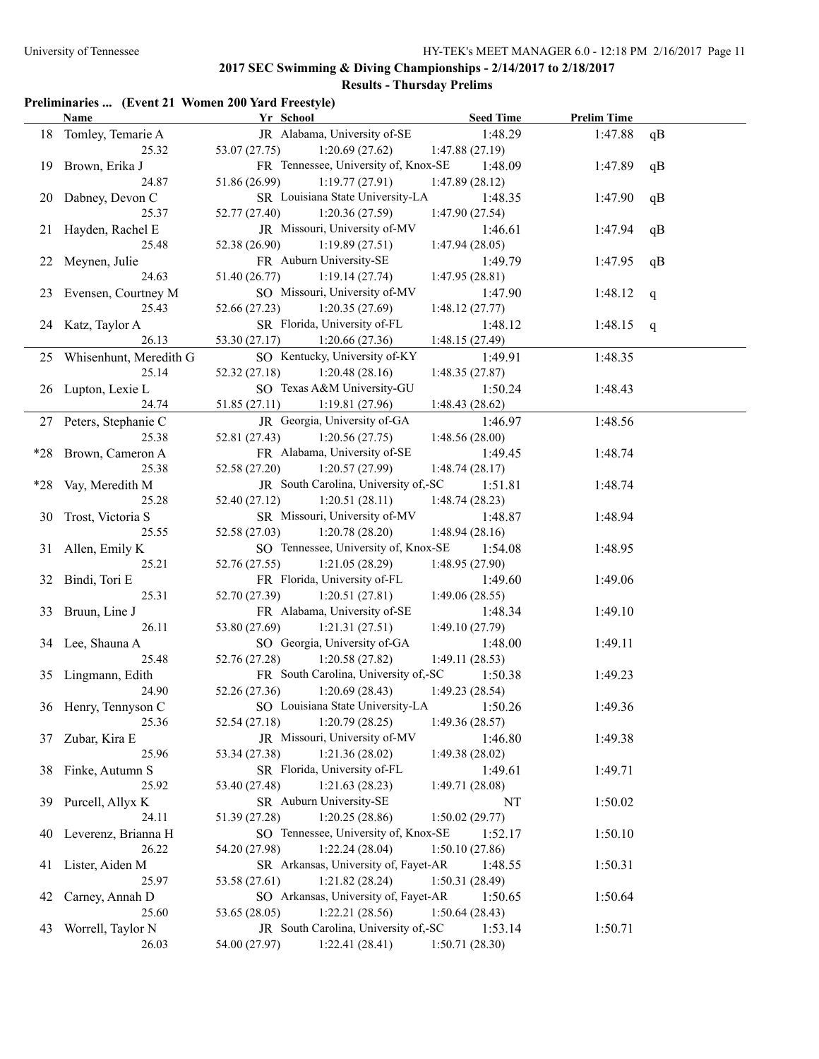#### **Preliminaries ... (Event 21 Women 200 Yard Freestyle)**

|     | Name                          | Yr School                                                        | <b>Seed Time</b>          | <b>Prelim Time</b> |    |
|-----|-------------------------------|------------------------------------------------------------------|---------------------------|--------------------|----|
|     | 18 Tomley, Temarie A          | JR Alabama, University of-SE                                     | 1:48.29                   | 1:47.88            | qB |
|     | 25.32                         | 53.07 (27.75)<br>1:20.69(27.62)                                  | 1:47.88(27.19)            |                    |    |
|     | 19 Brown, Erika J             | FR Tennessee, University of, Knox-SE                             | 1:48.09                   | 1:47.89            | qB |
|     | 24.87                         | 51.86 (26.99)<br>1:19.77(27.91)                                  | 1:47.89(28.12)            |                    |    |
|     | 20 Dabney, Devon C            | SR Louisiana State University-LA                                 | 1:48.35                   | 1:47.90            | qB |
|     | 25.37                         | 1:20.36(27.59)<br>52.77 (27.40)                                  | 1:47.90(27.54)            |                    |    |
| 21. | Hayden, Rachel E              | JR Missouri, University of-MV                                    | 1:46.61                   | 1:47.94            | qB |
|     | 25.48                         | 52.38 (26.90)<br>1:19.89(27.51)                                  | 1:47.94(28.05)            |                    |    |
| 22  | Meynen, Julie                 | FR Auburn University-SE                                          | 1:49.79                   | 1:47.95            | qB |
|     | 24.63                         | 51.40 (26.77)<br>1:19.14(27.74)                                  | 1:47.95(28.81)            |                    |    |
|     | 23 Evensen, Courtney M        | SO Missouri, University of-MV                                    | 1:47.90                   | 1:48.12            | q  |
|     | 25.43                         | 52.66 (27.23)<br>1:20.35(27.69)                                  | 1:48.12(27.77)            |                    |    |
|     | 24 Katz, Taylor A             | SR Florida, University of-FL                                     | 1:48.12                   | 1:48.15            | q  |
|     | 26.13                         | 53.30 (27.17)<br>1:20.66(27.36)                                  | 1:48.15(27.49)            |                    |    |
|     | 25 Whisenhunt, Meredith G     | SO Kentucky, University of-KY                                    | 1:49.91                   | 1:48.35            |    |
|     | 25.14                         | 52.32 (27.18)<br>1:20.48(28.16)                                  | 1:48.35(27.87)            |                    |    |
|     | 26 Lupton, Lexie L            | SO Texas A&M University-GU                                       | 1:50.24                   | 1:48.43            |    |
|     | 24.74                         | 51.85 (27.11)<br>1:19.81(27.96)                                  | 1:48.43(28.62)            |                    |    |
|     | 27 Peters, Stephanie C        | JR Georgia, University of-GA                                     | 1:46.97                   | 1:48.56            |    |
|     | 25.38                         | 52.81 (27.43)<br>1:20.56(27.75)                                  | 1:48.56(28.00)            |                    |    |
| *28 | Brown, Cameron A              | FR Alabama, University of-SE                                     | 1:49.45                   | 1:48.74            |    |
|     | 25.38                         | 52.58 (27.20)<br>1:20.57(27.99)                                  | 1:48.74(28.17)            |                    |    |
| *28 | Vay, Meredith M               | JR South Carolina, University of,-SC                             | 1:51.81                   | 1:48.74            |    |
|     | 25.28                         | 52.40 (27.12)<br>1:20.51(28.11)                                  | 1:48.74(28.23)            |                    |    |
| 30  | Trost, Victoria S             | SR Missouri, University of-MV                                    | 1:48.87                   | 1:48.94            |    |
|     | 25.55                         | 52.58 (27.03)<br>1:20.78(28.20)                                  | 1:48.94(28.16)            |                    |    |
| 31  | Allen, Emily K                | SO Tennessee, University of, Knox-SE                             | 1:54.08                   | 1:48.95            |    |
|     | 25.21                         | 52.76 (27.55)<br>1:21.05(28.29)                                  | 1:48.95(27.90)            |                    |    |
|     | 32 Bindi, Tori E              | FR Florida, University of-FL                                     | 1:49.60                   | 1:49.06            |    |
|     | 25.31                         | 52.70 (27.39)<br>1:20.51(27.81)                                  | 1:49.06(28.55)            |                    |    |
|     | 33 Bruun, Line J              | FR Alabama, University of-SE                                     | 1:48.34                   | 1:49.10            |    |
|     | 26.11                         | 53.80 (27.69)<br>1:21.31(27.51)                                  | 1:49.10(27.79)            |                    |    |
|     | 34 Lee, Shauna A              | SO Georgia, University of-GA                                     | 1:48.00                   | 1:49.11            |    |
|     | 25.48                         | 52.76 (27.28)<br>1:20.58(27.82)                                  | 1:49.11(28.53)            |                    |    |
|     | 35 Lingmann, Edith            | FR South Carolina, University of,-SC                             | 1:50.38                   | 1:49.23            |    |
|     | 24.90                         | 52.26 (27.36)<br>1:20.69(28.43)                                  | 1:49.23 (28.54)           |                    |    |
|     | 36 Henry, Tennyson C<br>25.36 | SO Louisiana State University-LA 1:50.26                         |                           | 1:49.36            |    |
|     |                               | 1:20.79(28.25)<br>52.54 (27.18)<br>JR Missouri, University of-MV | 1:49.36(28.57)            |                    |    |
| 37  | Zubar, Kira E<br>25.96        | 53.34 (27.38)<br>1:21.36(28.02)                                  | 1:46.80                   | 1:49.38            |    |
|     |                               | SR Florida, University of-FL                                     | 1:49.38(28.02)            | 1:49.71            |    |
|     | 38 Finke, Autumn S<br>25.92   | 1:21.63(28.23)<br>53.40 (27.48)                                  | 1:49.61<br>1:49.71(28.08) |                    |    |
| 39  | Purcell, Allyx K              | SR Auburn University-SE                                          | NT                        | 1:50.02            |    |
|     | 24.11                         | 51.39 (27.28)<br>1:20.25(28.86)                                  | 1:50.02(29.77)            |                    |    |
|     | 40 Leverenz, Brianna H        | SO Tennessee, University of, Knox-SE                             | 1:52.17                   | 1:50.10            |    |
|     | 26.22                         | 1:22.24(28.04)<br>54.20 (27.98)                                  | 1:50.10(27.86)            |                    |    |
| 41  | Lister, Aiden M               | SR Arkansas, University of, Fayet-AR                             | 1:48.55                   | 1:50.31            |    |
|     | 25.97                         | 53.58 (27.61)<br>1:21.82(28.24)                                  | 1:50.31(28.49)            |                    |    |
| 42  | Carney, Annah D               | SO Arkansas, University of, Fayet-AR                             | 1:50.65                   | 1:50.64            |    |
|     | 25.60                         | 53.65 (28.05)<br>1:22.21(28.56)                                  | 1:50.64(28.43)            |                    |    |
| 43  | Worrell, Taylor N             | JR South Carolina, University of,-SC                             | 1:53.14                   | 1:50.71            |    |
|     | 26.03                         | 54.00 (27.97)<br>1:22.41(28.41)                                  | 1:50.71(28.30)            |                    |    |
|     |                               |                                                                  |                           |                    |    |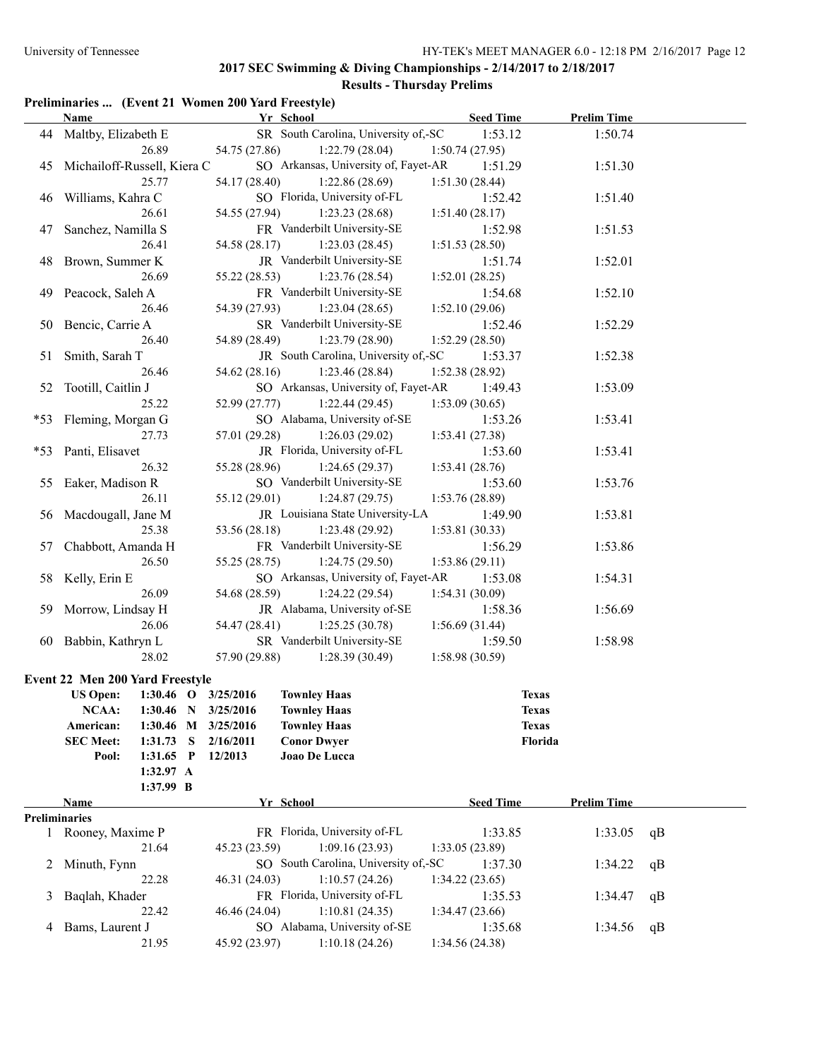# **Preliminaries ... (Event 21 Women 200 Yard Freestyle)**

|                      | <b>Name</b>                     |             |                           | Yr School                                    | <b>Seed Time</b> | <b>Prelim Time</b> |    |
|----------------------|---------------------------------|-------------|---------------------------|----------------------------------------------|------------------|--------------------|----|
|                      | 44 Maltby, Elizabeth E          |             |                           | SR South Carolina, University of,-SC 1:53.12 |                  | 1:50.74            |    |
|                      |                                 | 26.89       | 54.75 (27.86)             | 1:22.79(28.04)                               | 1:50.74(27.95)   |                    |    |
|                      | 45 Michailoff-Russell, Kiera C  |             |                           | SO Arkansas, University of, Fayet-AR         | 1:51.29          | 1:51.30            |    |
|                      |                                 | 25.77       | 54.17 (28.40)             | 1:22.86(28.69)                               | 1:51.30(28.44)   |                    |    |
|                      | 46 Williams, Kahra C            |             |                           | SO Florida, University of-FL                 | 1:52.42          | 1:51.40            |    |
|                      |                                 | 26.61       | 54.55 (27.94)             | 1:23.23(28.68)                               | 1:51.40(28.17)   |                    |    |
| 47                   | Sanchez, Namilla S              |             |                           | FR Vanderbilt University-SE                  | 1:52.98          | 1:51.53            |    |
|                      |                                 | 26.41       | 54.58 (28.17)             | 1:23.03(28.45)                               | 1:51.53(28.50)   |                    |    |
|                      | 48 Brown, Summer K              |             |                           | JR Vanderbilt University-SE                  | 1:51.74          | 1:52.01            |    |
|                      |                                 | 26.69       | 55.22 (28.53)             | 1:23.76(28.54)                               | 1:52.01(28.25)   |                    |    |
|                      | 49 Peacock, Saleh A             |             |                           | FR Vanderbilt University-SE                  | 1:54.68          | 1:52.10            |    |
|                      |                                 | 26.46       | 54.39 (27.93)             | 1:23.04(28.65)                               | 1:52.10(29.06)   |                    |    |
|                      | 50 Bencic, Carrie A             |             |                           | SR Vanderbilt University-SE                  | 1:52.46          | 1:52.29            |    |
|                      |                                 | 26.40       | 54.89 (28.49)             | 1:23.79(28.90)                               | 1:52.29(28.50)   |                    |    |
|                      | 51 Smith, Sarah T               |             |                           | JR South Carolina, University of,-SC         | 1:53.37          | 1:52.38            |    |
|                      |                                 | 26.46       |                           | 54.62 (28.16) 1:23.46 (28.84)                | 1:52.38(28.92)   |                    |    |
|                      | 52 Tootill, Caitlin J           |             |                           | SO Arkansas, University of, Fayet-AR         | 1:49.43          | 1:53.09            |    |
|                      |                                 | 25.22       |                           | 52.99 (27.77) 1:22.44 (29.45)                | 1:53.09(30.65)   |                    |    |
|                      | *53 Fleming, Morgan G           |             |                           | SO Alabama, University of-SE                 | 1:53.26          | 1:53.41            |    |
|                      |                                 | 27.73       | 57.01 (29.28)             | 1:26.03(29.02)                               | 1:53.41(27.38)   |                    |    |
|                      | *53 Panti, Elisavet             |             |                           | JR Florida, University of-FL                 | 1:53.60          | 1:53.41            |    |
|                      |                                 | 26.32       |                           | 55.28 (28.96) 1:24.65 (29.37)                | 1:53.41(28.76)   |                    |    |
|                      | 55 Eaker, Madison R             |             |                           | SO Vanderbilt University-SE                  | 1:53.60          | 1:53.76            |    |
|                      |                                 | 26.11       |                           | 55.12 (29.01) 1:24.87 (29.75)                | 1:53.76(28.89)   |                    |    |
|                      | 56 Macdougall, Jane M           |             |                           | JR Louisiana State University-LA             | 1:49.90          | 1:53.81            |    |
|                      |                                 | 25.38       |                           | 53.56 (28.18) 1:23.48 (29.92)                | 1:53.81(30.33)   |                    |    |
|                      | 57 Chabbott, Amanda H           |             |                           | FR Vanderbilt University-SE                  | 1:56.29          | 1:53.86            |    |
|                      |                                 | 26.50       |                           | 55.25 (28.75) 1:24.75 (29.50)                | 1:53.86(29.11)   |                    |    |
|                      | 58 Kelly, Erin E                |             |                           | SO Arkansas, University of, Fayet-AR         | 1:53.08          | 1:54.31            |    |
|                      |                                 | 26.09       |                           | 54.68 (28.59) 1:24.22 (29.54)                | 1:54.31(30.09)   |                    |    |
|                      | 59 Morrow, Lindsay H            |             |                           | JR Alabama, University of-SE                 | 1:58.36          | 1:56.69            |    |
|                      |                                 | 26.06       |                           | 54.47 (28.41) 1:25.25 (30.78)                | 1:56.69(31.44)   |                    |    |
|                      | 60 Babbin, Kathryn L            |             |                           | SR Vanderbilt University-SE                  | 1:59.50          | 1:58.98            |    |
|                      |                                 | 28.02       |                           | 57.90 (29.88) 1:28.39 (30.49)                | 1:58.98(30.59)   |                    |    |
|                      | Event 22 Men 200 Yard Freestyle |             |                           |                                              |                  |                    |    |
|                      | US Open: 1:30.46 O 3/25/2016    |             |                           | <b>Townley Haas</b>                          |                  | <b>Texas</b>       |    |
|                      |                                 |             | NCAA: 1:30.46 N 3/25/2016 | <b>Townley Haas</b>                          |                  | <b>Texas</b>       |    |
|                      | American:                       |             | 1:30.46 M 3/25/2016       | <b>Townley Haas</b>                          |                  | <b>Texas</b>       |    |
|                      | <b>SEC Meet:</b>                | $1:31.73$ S | 2/16/2011                 | <b>Conor Dwyer</b>                           |                  | Florida            |    |
|                      | Pool:                           | $1:31.65$ P | 12/2013                   | Joao De Lucca                                |                  |                    |    |
|                      |                                 | 1:32.97 A   |                           |                                              |                  |                    |    |
|                      |                                 | 1:37.99 B   |                           |                                              |                  |                    |    |
|                      | Name                            |             |                           | Yr School                                    | <b>Seed Time</b> | <b>Prelim Time</b> |    |
| <b>Preliminaries</b> |                                 |             |                           |                                              |                  |                    |    |
|                      | 1 Rooney, Maxime P              |             |                           | FR Florida, University of-FL                 | 1:33.85          | 1:33.05            | qB |
|                      |                                 | 21.64       | 45.23 (23.59)             | 1:09.16(23.93)                               | 1:33.05 (23.89)  |                    |    |
| 2                    | Minuth, Fynn                    |             |                           | SO South Carolina, University of,-SC         | 1:37.30          | 1:34.22            | qB |
|                      |                                 | 22.28       | 46.31 (24.03)             | 1:10.57(24.26)                               | 1:34.22(23.65)   |                    |    |
| 3                    | Baqlah, Khader                  |             |                           | FR Florida, University of-FL                 | 1:35.53          | 1:34.47            | qB |
|                      |                                 | 22.42       | 46.46 (24.04)             | 1:10.81(24.35)                               | 1:34.47(23.66)   |                    |    |
| 4                    | Bams, Laurent J                 |             |                           | SO Alabama, University of-SE                 | 1:35.68          | 1:34.56            | qB |
|                      |                                 | 21.95       | 45.92 (23.97)             | 1:10.18(24.26)                               | 1:34.56 (24.38)  |                    |    |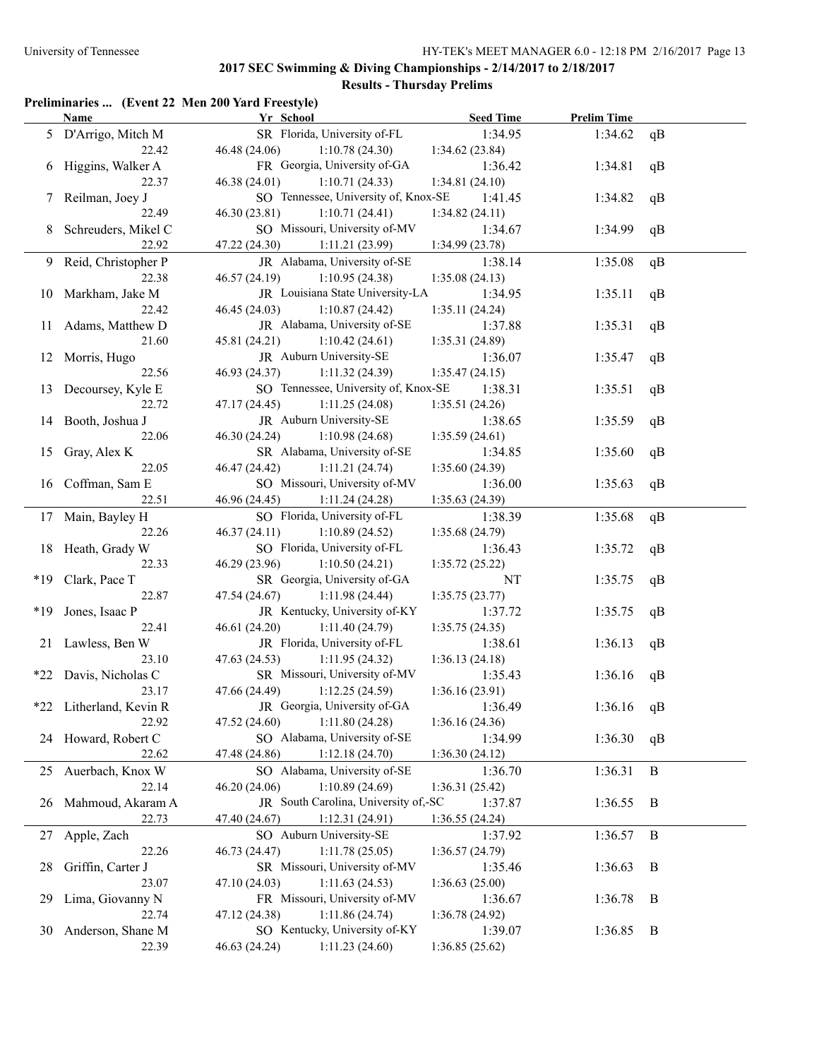# **Preliminaries ... (Event 22 Men 200 Yard Freestyle)**

|       | <b>Name</b>             | Yr School                            | <b>Seed Time</b> | <b>Prelim Time</b> |    |
|-------|-------------------------|--------------------------------------|------------------|--------------------|----|
|       | 5 D'Arrigo, Mitch M     | SR Florida, University of-FL         | 1:34.95          | 1:34.62            | qB |
|       | 22.42                   | 46.48 (24.06)<br>1:10.78(24.30)      | 1:34.62(23.84)   |                    |    |
| 6     | Higgins, Walker A       | FR Georgia, University of-GA         | 1:36.42          | 1:34.81            | qB |
|       | 22.37                   | 46.38 (24.01)<br>1:10.71(24.33)      | 1:34.81(24.10)   |                    |    |
|       | 7 Reilman, Joey J       | SO Tennessee, University of, Knox-SE | 1:41.45          | 1:34.82            | qB |
|       | 22.49                   | 46.30 (23.81)<br>1:10.71(24.41)      | 1:34.82(24.11)   |                    |    |
| 8     | Schreuders, Mikel C     | SO Missouri, University of-MV        | 1:34.67          | 1:34.99            | qB |
|       | 22.92                   | 47.22 (24.30)<br>1:11.21(23.99)      | 1:34.99 (23.78)  |                    |    |
|       | 9 Reid, Christopher P   | JR Alabama, University of-SE         | 1:38.14          | 1:35.08            | qB |
|       | 22.38                   | 46.57 (24.19)<br>1:10.95(24.38)      | 1:35.08(24.13)   |                    |    |
|       | 10 Markham, Jake M      | JR Louisiana State University-LA     | 1:34.95          | 1:35.11            | qB |
|       | 22.42                   | 46.45 (24.03)<br>1:10.87(24.42)      | 1:35.11 (24.24)  |                    |    |
|       | 11 Adams, Matthew D     | JR Alabama, University of-SE         | 1:37.88          | 1:35.31            | qB |
|       | 21.60                   | 45.81 (24.21)<br>1:10.42(24.61)      | 1:35.31(24.89)   |                    |    |
|       | 12 Morris, Hugo         | JR Auburn University-SE              | 1:36.07          | 1:35.47            | qB |
|       | 22.56                   | 46.93 (24.37)<br>1:11.32(24.39)      | 1:35.47(24.15)   |                    |    |
|       | 13 Decoursey, Kyle E    | SO Tennessee, University of, Knox-SE | 1:38.31          | 1:35.51            | qB |
|       | 22.72                   | 47.17 (24.45)<br>1:11.25(24.08)      | 1:35.51 (24.26)  |                    |    |
|       | 14 Booth, Joshua J      | JR Auburn University-SE              | 1:38.65          | 1:35.59            | qB |
|       | 22.06                   | 46.30 (24.24)<br>1:10.98(24.68)      | 1:35.59(24.61)   |                    |    |
|       | 15 Gray, Alex K         | SR Alabama, University of-SE         | 1:34.85          | 1:35.60            | qB |
|       | 22.05                   | 46.47 (24.42)<br>1:11.21(24.74)      | 1:35.60(24.39)   |                    |    |
|       | 16 Coffman, Sam E       | SO Missouri, University of-MV        | 1:36.00          | 1:35.63            | qB |
|       | 22.51                   | 46.96 (24.45)<br>1:11.24(24.28)      | 1:35.63(24.39)   |                    |    |
|       | 17 Main, Bayley H       | SO Florida, University of-FL         | 1:38.39          | 1:35.68            | qB |
|       | 22.26                   | 1:10.89(24.52)<br>46.37(24.11)       | 1:35.68(24.79)   |                    |    |
|       | 18 Heath, Grady W       | SO Florida, University of-FL         | 1:36.43          | 1:35.72            | qB |
|       | 22.33                   | 46.29 (23.96)<br>1:10.50(24.21)      | 1:35.72(25.22)   |                    |    |
| *19   | Clark, Pace T           | SR Georgia, University of-GA         | NT               | 1:35.75            | qB |
|       | 22.87                   | 47.54 (24.67)<br>1:11.98(24.44)      | 1:35.75(23.77)   |                    |    |
| $*19$ | Jones, Isaac P          | JR Kentucky, University of-KY        | 1:37.72          | 1:35.75            | qB |
|       | 22.41                   | 46.61 (24.20)<br>1:11.40(24.79)      | 1:35.75(24.35)   |                    |    |
|       | 21 Lawless, Ben W       | JR Florida, University of-FL         | 1:38.61          |                    |    |
|       | 23.10                   | 47.63 (24.53)<br>1:11.95(24.32)      |                  | 1:36.13            | qB |
|       |                         | SR Missouri, University of-MV        | 1:36.13(24.18)   |                    |    |
|       | *22 Davis, Nicholas C   |                                      | 1:35.43          | 1:36.16            | qB |
|       | 23.17                   | 1:12.25(24.59)<br>47.66 (24.49)      | 1:36.16(23.91)   |                    |    |
|       | *22 Litherland, Kevin R | JR Georgia, University of-GA         | 1:36.49          | 1:36.16 $qB$       |    |
|       | 22.92                   | 1:11.80(24.28)<br>47.52 (24.60)      | 1:36.16(24.36)   |                    |    |
|       | 24 Howard, Robert C     | SO Alabama, University of-SE         | 1:34.99          | 1:36.30            | qB |
|       | 22.62                   | 47.48 (24.86)<br>1:12.18(24.70)      | 1:36.30(24.12)   |                    |    |
| 25    | Auerbach, Knox W        | SO Alabama, University of-SE         | 1:36.70          | 1:36.31            | B  |
|       | 22.14                   | 1:10.89(24.69)<br>46.20 (24.06)      | 1:36.31(25.42)   |                    |    |
| 26    | Mahmoud, Akaram A       | JR South Carolina, University of,-SC | 1:37.87          | 1:36.55            | B  |
|       | 22.73                   | 47.40 (24.67)<br>1:12.31(24.91)      | 1:36.55(24.24)   |                    |    |
| 27    | Apple, Zach             | SO Auburn University-SE              | 1:37.92          | 1:36.57            | B  |
|       | 22.26                   | 1:11.78(25.05)<br>46.73 (24.47)      | 1:36.57(24.79)   |                    |    |
| 28    | Griffin, Carter J       | SR Missouri, University of-MV        | 1:35.46          | 1:36.63            | B  |
|       | 23.07                   | 1:11.63(24.53)<br>47.10 (24.03)      | 1:36.63(25.00)   |                    |    |
| 29    | Lima, Giovanny N        | FR Missouri, University of-MV        | 1:36.67          | 1:36.78            | B  |
|       | 22.74                   | 47.12 (24.38)<br>1:11.86(24.74)      | 1:36.78 (24.92)  |                    |    |
| 30    | Anderson, Shane M       | SO Kentucky, University of-KY        | 1:39.07          | 1:36.85            | B  |
|       | 22.39                   | 1:11.23(24.60)<br>46.63 (24.24)      | 1:36.85(25.62)   |                    |    |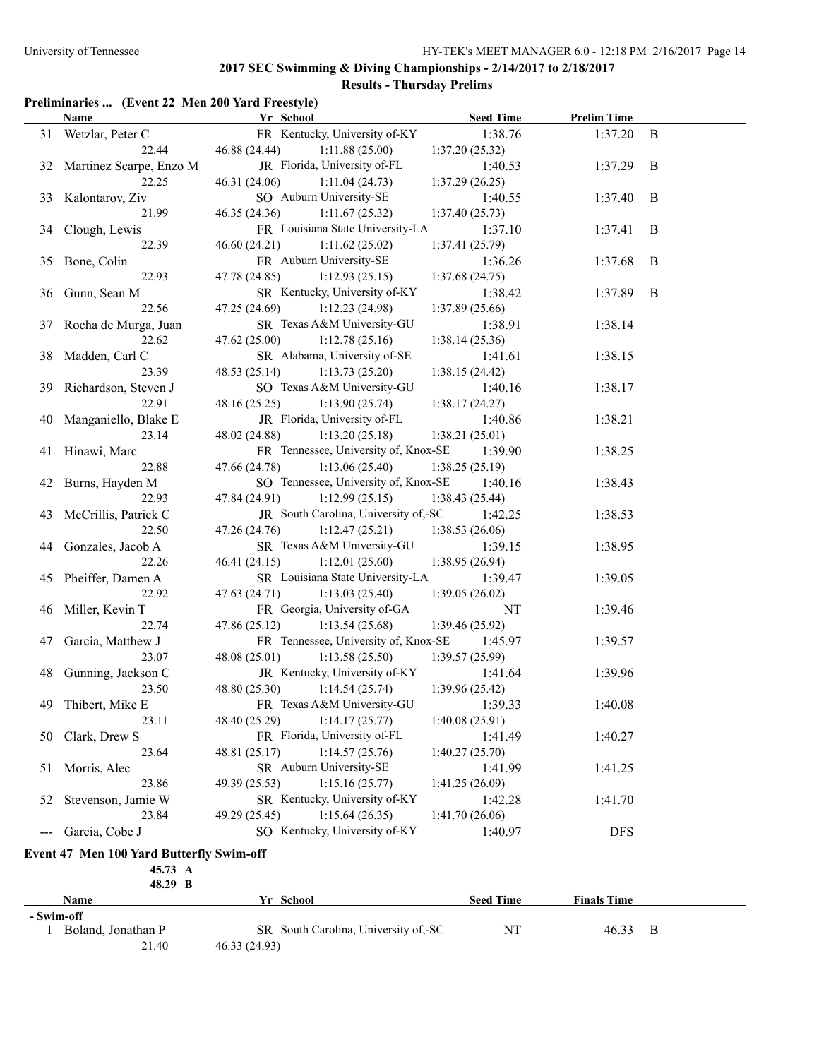# **Preliminaries ... (Event 22 Men 200 Yard Freestyle)**

|                                                 | <b>Name</b>             | Yr School                            | <b>Seed Time</b> | <b>Prelim Time</b> |             |  |
|-------------------------------------------------|-------------------------|--------------------------------------|------------------|--------------------|-------------|--|
|                                                 | 31 Wetzlar, Peter C     | FR Kentucky, University of-KY        | 1:38.76          | 1:37.20            | B           |  |
|                                                 | 22.44                   | 46.88 (24.44)<br>1:11.88(25.00)      | 1:37.20(25.32)   |                    |             |  |
| 32                                              | Martinez Scarpe, Enzo M | JR Florida, University of-FL         | 1:40.53          | 1:37.29            | B           |  |
|                                                 | 22.25                   | 46.31 (24.06)<br>1:11.04(24.73)      | 1:37.29(26.25)   |                    |             |  |
|                                                 | 33 Kalontarov, Ziv      | SO Auburn University-SE              | 1:40.55          | 1:37.40            | B           |  |
|                                                 | 21.99                   | 46.35(24.36)<br>1:11.67(25.32)       | 1:37.40(25.73)   |                    |             |  |
|                                                 | 34 Clough, Lewis        | FR Louisiana State University-LA     | 1:37.10          | 1:37.41            | B           |  |
|                                                 | 22.39                   | 46.60(24.21)<br>1:11.62(25.02)       | 1:37.41(25.79)   |                    |             |  |
|                                                 | 35 Bone, Colin          | FR Auburn University-SE              | 1:36.26          | 1:37.68            | B           |  |
|                                                 | 22.93                   | 47.78 (24.85)<br>1:12.93(25.15)      | 1:37.68(24.75)   |                    |             |  |
|                                                 | 36 Gunn, Sean M         | SR Kentucky, University of-KY        | 1:38.42          | 1:37.89            | $\mathbf B$ |  |
|                                                 | 22.56                   | 47.25 (24.69)<br>1:12.23(24.98)      | 1:37.89(25.66)   |                    |             |  |
|                                                 | 37 Rocha de Murga, Juan | SR Texas A&M University-GU           | 1:38.91          | 1:38.14            |             |  |
|                                                 | 22.62                   | 47.62 (25.00)<br>1:12.78(25.16)      | 1:38.14(25.36)   |                    |             |  |
|                                                 | 38 Madden, Carl C       | SR Alabama, University of-SE         | 1:41.61          | 1:38.15            |             |  |
|                                                 | 23.39                   | 48.53 (25.14)<br>1:13.73(25.20)      | 1:38.15(24.42)   |                    |             |  |
|                                                 | 39 Richardson, Steven J | SO Texas A&M University-GU           | 1:40.16          | 1:38.17            |             |  |
|                                                 | 22.91                   | 48.16(25.25)<br>1:13.90(25.74)       | 1:38.17(24.27)   |                    |             |  |
|                                                 | 40 Manganiello, Blake E | JR Florida, University of-FL         | 1:40.86          | 1:38.21            |             |  |
|                                                 | 23.14                   | 48.02 (24.88)<br>1:13.20(25.18)      | 1:38.21(25.01)   |                    |             |  |
|                                                 | 41 Hinawi, Marc         | FR Tennessee, University of, Knox-SE | 1:39.90          | 1:38.25            |             |  |
|                                                 | 22.88                   | 47.66 (24.78)<br>1:13.06(25.40)      | 1:38.25(25.19)   |                    |             |  |
|                                                 | 42 Burns, Hayden M      | SO Tennessee, University of, Knox-SE | 1:40.16          | 1:38.43            |             |  |
|                                                 | 22.93                   | 47.84 (24.91)<br>1:12.99(25.15)      | 1:38.43(25.44)   |                    |             |  |
| 43                                              | McCrillis, Patrick C    | JR South Carolina, University of,-SC | 1:42.25          | 1:38.53            |             |  |
|                                                 | 22.50                   | 47.26 (24.76)<br>1:12.47(25.21)      | 1:38.53(26.06)   |                    |             |  |
| 44                                              | Gonzales, Jacob A       | SR Texas A&M University-GU           | 1:39.15          | 1:38.95            |             |  |
|                                                 | 22.26                   | 46.41(24.15)<br>1:12.01(25.60)       | 1:38.95(26.94)   |                    |             |  |
|                                                 | 45 Pheiffer, Damen A    | SR Louisiana State University-LA     | 1:39.47          | 1:39.05            |             |  |
|                                                 | 22.92                   | 47.63 (24.71)<br>1:13.03(25.40)      | 1:39.05(26.02)   |                    |             |  |
|                                                 | 46 Miller, Kevin T      | FR Georgia, University of-GA         | NT               | 1:39.46            |             |  |
|                                                 | 22.74                   | 47.86 (25.12)<br>1:13.54(25.68)      | 1:39.46(25.92)   |                    |             |  |
| 47                                              | Garcia, Matthew J       | FR Tennessee, University of, Knox-SE | 1:45.97          | 1:39.57            |             |  |
|                                                 | 23.07                   | 48.08(25.01)<br>1:13.58(25.50)       | 1:39.57(25.99)   |                    |             |  |
|                                                 | 48 Gunning, Jackson C   | JR Kentucky, University of-KY        | 1:41.64          | 1:39.96            |             |  |
|                                                 | 23.50                   | 48.80 (25.30)<br>1:14.54(25.74)      | 1:39.96(25.42)   |                    |             |  |
|                                                 | 49 Thibert, Mike E      | FR Texas A&M University-GU           | 1:39.33          | 1:40.08            |             |  |
|                                                 | 23.11                   | 1:14.17(25.77)<br>48.40 (25.29)      | 1:40.08(25.91)   |                    |             |  |
| 50                                              | Clark, Drew S           | FR Florida, University of-FL         | 1:41.49          | 1:40.27            |             |  |
|                                                 | 23.64                   | 48.81 (25.17)<br>1:14.57(25.76)      | 1:40.27(25.70)   |                    |             |  |
| 51                                              | Morris, Alec            | SR Auburn University-SE              | 1:41.99          | 1:41.25            |             |  |
|                                                 | 23.86                   | 1:15.16(25.77)<br>49.39 (25.53)      | 1:41.25 (26.09)  |                    |             |  |
| 52                                              | Stevenson, Jamie W      | SR Kentucky, University of-KY        | 1:42.28          | 1:41.70            |             |  |
|                                                 | 23.84                   | 49.29 (25.45)<br>1:15.64(26.35)      | 1:41.70 (26.06)  |                    |             |  |
| $\sim$ $\sim$                                   | Garcia, Cobe J          | SO Kentucky, University of-KY        | 1:40.97          | <b>DFS</b>         |             |  |
|                                                 |                         |                                      |                  |                    |             |  |
| <b>Event 47 Men 100 Yard Butterfly Swim-off</b> |                         |                                      |                  |                    |             |  |
|                                                 | 45.73 A                 |                                      |                  |                    |             |  |
|                                                 | 48.29 B                 |                                      |                  |                    |             |  |
|                                                 | Name                    | Yr School                            | <b>Seed Time</b> | <b>Finals Time</b> |             |  |
| - Swim-off                                      | 1 Boland, Jonathan P    | SR South Carolina, University of,-SC | NT               | 46.33              | B           |  |
|                                                 | 21.40                   | 46.33 (24.93)                        |                  |                    |             |  |
|                                                 |                         |                                      |                  |                    |             |  |